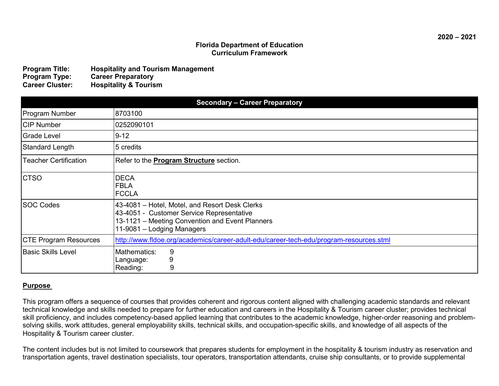### **Florida Department of Education Curriculum Framework**

| <b>Program Title:</b>  | <b>Hospitality and Tourism Management</b> |
|------------------------|-------------------------------------------|
| <b>Program Type:</b>   | <b>Career Preparatory</b>                 |
| <b>Career Cluster:</b> | <b>Hospitality &amp; Tourism</b>          |

| <b>Secondary - Career Preparatory</b> |                                                                                                                                                                              |  |  |
|---------------------------------------|------------------------------------------------------------------------------------------------------------------------------------------------------------------------------|--|--|
| <b>Program Number</b>                 | 8703100                                                                                                                                                                      |  |  |
| <b>CIP Number</b>                     | 0252090101                                                                                                                                                                   |  |  |
| Grade Level                           | $9 - 12$                                                                                                                                                                     |  |  |
| <b>Standard Length</b>                | 5 credits                                                                                                                                                                    |  |  |
| <b>Teacher Certification</b>          | Refer to the <b>Program Structure</b> section.                                                                                                                               |  |  |
| <b>CTSO</b>                           | <b>DECA</b><br><b>FBLA</b><br><b>FCCLA</b>                                                                                                                                   |  |  |
| <b>SOC Codes</b>                      | 43-4081 – Hotel, Motel, and Resort Desk Clerks<br>43-4051 - Customer Service Representative<br>13-1121 - Meeting Convention and Event Planners<br>11-9081 - Lodging Managers |  |  |
| <b>CTE Program Resources</b>          | http://www.fldoe.org/academics/career-adult-edu/career-tech-edu/program-resources.stml                                                                                       |  |  |
| <b>Basic Skills Level</b>             | 9<br>Mathematics:<br>9<br>Language:<br>9<br>Reading:                                                                                                                         |  |  |

### **Purpose**

This program offers a sequence of courses that provides coherent and rigorous content aligned with challenging academic standards and relevant technical knowledge and skills needed to prepare for further education and careers in the Hospitality & Tourism career cluster; provides technical skill proficiency, and includes competency-based applied learning that contributes to the academic knowledge, higher-order reasoning and problemsolving skills, work attitudes, general employability skills, technical skills, and occupation-specific skills, and knowledge of all aspects of the Hospitality & Tourism career cluster.

The content includes but is not limited to coursework that prepares students for employment in the hospitality & tourism industry as reservation and transportation agents, travel destination specialists, tour operators, transportation attendants, cruise ship consultants, or to provide supplemental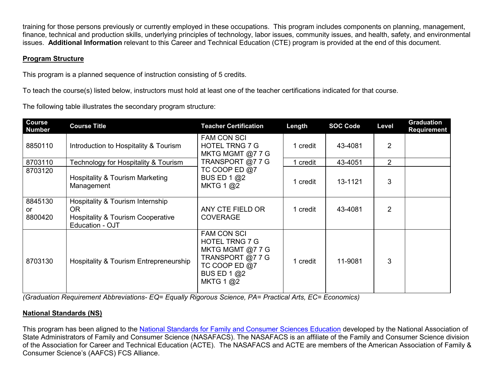training for those persons previously or currently employed in these occupations. This program includes components on planning, management, finance, technical and production skills, underlying principles of technology, labor issues, community issues, and health, safety, and environmental issues. **Additional Information** relevant to this Career and Technical Education (CTE) program is provided at the end of this document.

# **Program Structure**

This program is a planned sequence of instruction consisting of 5 credits.

To teach the course(s) listed below, instructors must hold at least one of the teacher certifications indicated for that course.

The following table illustrates the secondary program structure:

| Course<br><b>Number</b>  | <b>Course Title</b>                                                                                        | <b>Teacher Certification</b>                                                                                                              | Length   | <b>SOC Code</b> | Level          | <b>Graduation</b><br>Requirement |
|--------------------------|------------------------------------------------------------------------------------------------------------|-------------------------------------------------------------------------------------------------------------------------------------------|----------|-----------------|----------------|----------------------------------|
| 8850110                  | Introduction to Hospitality & Tourism                                                                      | <b>FAM CON SCI</b><br><b>HOTEL TRNG 7 G</b><br>MKTG MGMT @7 7 G                                                                           | 1 credit | 43-4081         | $\overline{2}$ |                                  |
| 8703110                  | Technology for Hospitality & Tourism                                                                       | TRANSPORT @77G                                                                                                                            | 1 credit | 43-4051         | $\overline{2}$ |                                  |
| 8703120                  | <b>Hospitality &amp; Tourism Marketing</b><br>Management                                                   | TC COOP ED $@7$<br>BUS ED 1 @2<br>MKTG $1 \textcircled{a}2$                                                                               | 1 credit | 13-1121         | 3              |                                  |
| 8845130<br>or<br>8800420 | Hospitality & Tourism Internship<br>OR.<br><b>Hospitality &amp; Tourism Cooperative</b><br>Education - OJT | ANY CTE FIELD OR<br><b>COVERAGE</b>                                                                                                       | 1 credit | 43-4081         | $\overline{2}$ |                                  |
| 8703130                  | Hospitality & Tourism Entrepreneurship                                                                     | <b>FAM CON SCI</b><br><b>HOTEL TRNG 7 G</b><br>MKTG MGMT @7 7 G<br>TRANSPORT @7 7 G<br>TC COOP ED $@7$<br><b>BUS ED 1 @2</b><br>MKTG 1 @2 | 1 credit | 11-9081         | 3              |                                  |

*(Graduation Requirement Abbreviations- EQ= Equally Rigorous Science, PA= Practical Arts, EC= Economics)*

## **National Standards (NS)**

This program has been aligned to the [National Standards for Family and Consumer Sciences Education](http://nasafacs.org/index.html) developed by the National Association of State Administrators of Family and Consumer Science (NASAFACS). The NASAFACS is an affiliate of the Family and Consumer Science division of the Association for Career and Technical Education (ACTE). The NASAFACS and ACTE are members of the American Association of Family & Consumer Science's (AAFCS) FCS Alliance.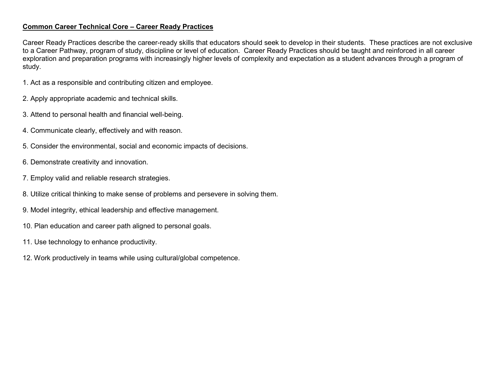### **Common Career Technical Core – Career Ready Practices**

Career Ready Practices describe the career-ready skills that educators should seek to develop in their students. These practices are not exclusive to a Career Pathway, program of study, discipline or level of education. Career Ready Practices should be taught and reinforced in all career exploration and preparation programs with increasingly higher levels of complexity and expectation as a student advances through a program of study.

- 1. Act as a responsible and contributing citizen and employee.
- 2. Apply appropriate academic and technical skills.
- 3. Attend to personal health and financial well-being.
- 4. Communicate clearly, effectively and with reason.
- 5. Consider the environmental, social and economic impacts of decisions.
- 6. Demonstrate creativity and innovation.
- 7. Employ valid and reliable research strategies.
- 8. Utilize critical thinking to make sense of problems and persevere in solving them.
- 9. Model integrity, ethical leadership and effective management.
- 10. Plan education and career path aligned to personal goals.
- 11. Use technology to enhance productivity.
- 12. Work productively in teams while using cultural/global competence.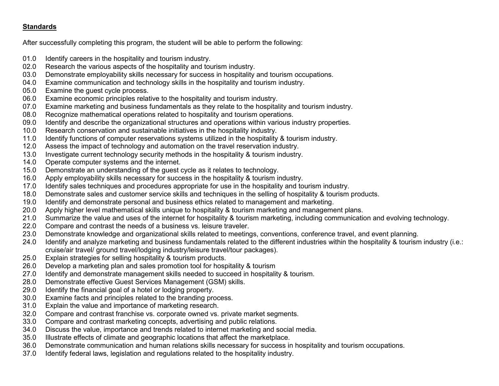## **Standards**

After successfully completing this program, the student will be able to perform the following:

- 01.0 Identify careers in the hospitality and tourism industry.<br>02.0 Research the various aspects of the hospitality and tou
- 02.0 Research the various aspects of the hospitality and tourism industry.<br>03.0 Demonstrate emplovability skills necessary for success in hospitality
- 03.0 Demonstrate employability skills necessary for success in hospitality and tourism occupations.<br>04.0 Examine communication and technology skills in the hospitality and tourism industry.
- Examine communication and technology skills in the hospitality and tourism industry.
- 05.0 Examine the guest cycle process.<br>06.0 Examine economic principles relate
- Examine economic principles relative to the hospitality and tourism industry.
- 07.0 Examine marketing and business fundamentals as they relate to the hospitality and tourism industry.
- 08.0 Recognize mathematical operations related to hospitality and tourism operations.
- 09.0 Identify and describe the organizational structures and operations within various industry properties.
- 10.0 Research conservation and sustainable initiatives in the hospitality industry.
- 11.0 Identify functions of computer reservations systems utilized in the hospitality & tourism industry.
- 12.0 Assess the impact of technology and automation on the travel reservation industry.
- 13.0 Investigate current technology security methods in the hospitality & tourism industry.<br>14.0 Operate computer systems and the internet.
- Operate computer systems and the internet.
- 15.0 Demonstrate an understanding of the guest cycle as it relates to technology.
- 16.0 Apply employability skills necessary for success in the hospitality & tourism industry.
- 17.0 Identify sales techniques and procedures appropriate for use in the hospitality and tourism industry.
- 18.0 Demonstrate sales and customer service skills and techniques in the selling of hospitality & tourism products.
- 19.0 Identify and demonstrate personal and business ethics related to management and marketing.
- 20.0 Apply higher level mathematical skills unique to hospitality & tourism marketing and management plans.
- 21.0 Summarize the value and uses of the internet for hospitality & tourism marketing, including communication and evolving technology.
- 22.0 Compare and contrast the needs of a business vs. leisure traveler.
- 23.0 Demonstrate knowledge and organizational skills related to meetings, conventions, conference travel, and event planning.
- 24.0 Identify and analyze marketing and business fundamentals related to the different industries within the hospitality & tourism industry (i.e.: cruise/air travel/ ground travel/lodging industry/leisure travel/tour packages).
- 25.0 Explain strategies for selling hospitality & tourism products.
- 26.0 Develop a marketing plan and sales promotion tool for hospitality & tourism
- 27.0 Identify and demonstrate management skills needed to succeed in hospitality & tourism.
- 28.0 Demonstrate effective Guest Services Management (GSM) skills.
- 29.0 Identify the financial goal of a hotel or lodging property.
- 30.0 Examine facts and principles related to the branding process.
- 31.0 Explain the value and importance of marketing research.<br>32.0 Compare and contrast franchise vs. corporate owned vs.
- 32.0 Compare and contrast franchise vs. corporate owned vs. private market segments.<br>33.0 Compare and contrast marketing concepts, advertising and public relations.
- 33.0 Compare and contrast marketing concepts, advertising and public relations.
- 34.0 Discuss the value, importance and trends related to internet marketing and social media.
- 35.0 Illustrate effects of climate and geographic locations that affect the marketplace.
- 36.0 Demonstrate communication and human relations skills necessary for success in hospitality and tourism occupations.
- 37.0 Identify federal laws, legislation and regulations related to the hospitality industry.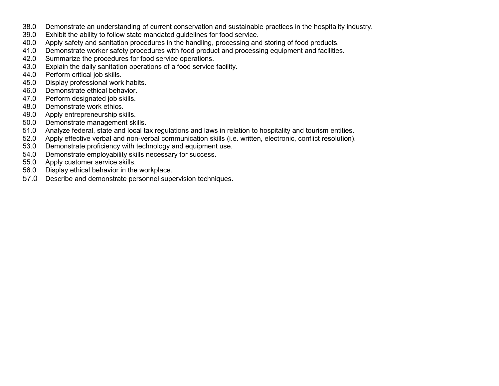- 38.0 Demonstrate an understanding of current conservation and sustainable practices in the hospitality industry.<br>39.0 Exhibit the ability to follow state mandated guidelines for food service.
- Exhibit the ability to follow state mandated guidelines for food service.
- 40.0 Apply safety and sanitation procedures in the handling, processing and storing of food products.<br>41.0 Demonstrate worker safety procedures with food product and processing equipment and facilities
- Demonstrate worker safety procedures with food product and processing equipment and facilities.
- 42.0 Summarize the procedures for food service operations.<br>43.0 Explain the daily sanitation operations of a food service
- 43.0 Explain the daily sanitation operations of a food service facility.<br>44.0 Perform critical iob skills.
- 44.0 Perform critical job skills.<br>45.0 Display professional work
- 45.0 Display professional work habits.<br>46.0 Demonstrate ethical behavior.
- 46.0 Demonstrate ethical behavior.<br>47.0 Perform designated job skills.
- 47.0 Perform designated job skills.<br>48.0 Demonstrate work ethics.
- Demonstrate work ethics.
- 49.0 Apply entrepreneurship skills.
- 50.0 Demonstrate management skills.
- 51.0 Analyze federal, state and local tax regulations and laws in relation to hospitality and tourism entities.
- 52.0 Apply effective verbal and non-verbal communication skills (i.e. written, electronic, conflict resolution).<br>53.0 Demonstrate proficiency with technology and equipment use.
- Demonstrate proficiency with technology and equipment use.
- 54.0 Demonstrate employability skills necessary for success.<br>55.0 Apply customer service skills.
- 55.0 Apply customer service skills.<br>56.0 Display ethical behavior in the
- Display ethical behavior in the workplace.
- 57.0 Describe and demonstrate personnel supervision techniques.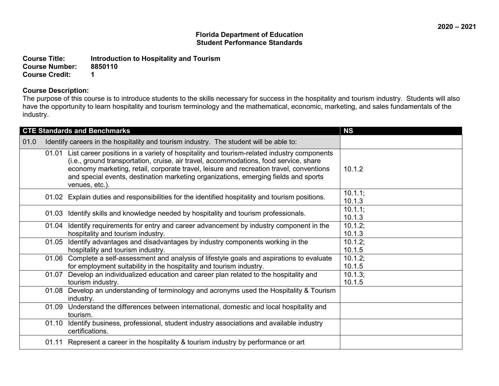**Course Title:** Introduction to Hospitality and Tourism<br> **Course Number:** 8850110 Course Number: 88<br>Course Credit: 1 **Course Credit: 1**

## **Course Description:**

The purpose of this course is to introduce students to the skills necessary for success in the hospitality and tourism industry. Students will also have the opportunity to learn hospitality and tourism terminology and the mathematical, economic, marketing, and sales fundamentals of the industry.

|      |       | <b>CTE Standards and Benchmarks</b>                                                                                                                                                                                                                                                                                                                                                          | <b>NS</b>            |
|------|-------|----------------------------------------------------------------------------------------------------------------------------------------------------------------------------------------------------------------------------------------------------------------------------------------------------------------------------------------------------------------------------------------------|----------------------|
| 01.0 |       | Identify careers in the hospitality and tourism industry. The student will be able to:                                                                                                                                                                                                                                                                                                       |                      |
|      |       | 01.01 List career positions in a variety of hospitality and tourism-related industry components<br>(i.e., ground transportation, cruise, air travel, accommodations, food service, share<br>economy marketing, retail, corporate travel, leisure and recreation travel, conventions<br>and special events, destination marketing organizations, emerging fields and sports<br>venues, etc.). | 10.1.2               |
|      |       | 01.02 Explain duties and responsibilities for the identified hospitality and tourism positions.                                                                                                                                                                                                                                                                                              | $10.1.1$ ;<br>10.1.3 |
|      | 01.03 | Identify skills and knowledge needed by hospitality and tourism professionals.                                                                                                                                                                                                                                                                                                               | $10.1.1$ ;<br>10.1.3 |
|      |       | 01.04 Identify requirements for entry and career advancement by industry component in the<br>hospitality and tourism industry.                                                                                                                                                                                                                                                               | $10.1.2$ ;<br>10.1.3 |
|      | 01.05 | Identify advantages and disadvantages by industry components working in the<br>hospitality and tourism industry.                                                                                                                                                                                                                                                                             | 10.1.2;<br>10.1.5    |
|      |       | 01.06 Complete a self-assessment and analysis of lifestyle goals and aspirations to evaluate<br>for employment suitability in the hospitality and tourism industry.                                                                                                                                                                                                                          | $10.1.2$ ;<br>10.1.5 |
|      | 01.07 | Develop an individualized education and career plan related to the hospitality and<br>tourism industry.                                                                                                                                                                                                                                                                                      | 10.1.3;<br>10.1.5    |
|      | 01.08 | Develop an understanding of terminology and acronyms used the Hospitality & Tourism<br>industry.                                                                                                                                                                                                                                                                                             |                      |
|      | 01.09 | Understand the differences between international, domestic and local hospitality and<br>tourism.                                                                                                                                                                                                                                                                                             |                      |
|      | 01.10 | Identify business, professional, student industry associations and available industry<br>certifications.                                                                                                                                                                                                                                                                                     |                      |
|      |       | 01.11 Represent a career in the hospitality & tourism industry by performance or art                                                                                                                                                                                                                                                                                                         |                      |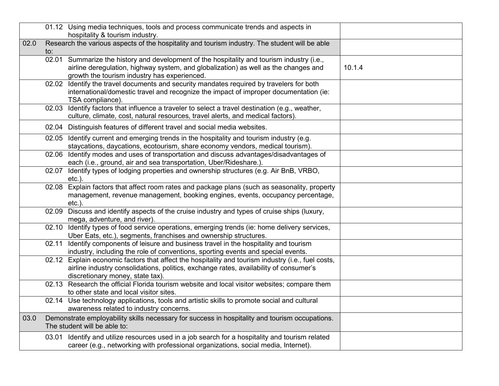|      |       | 01.12 Using media techniques, tools and process communicate trends and aspects in<br>hospitality & tourism industry.                                                                                                              |        |
|------|-------|-----------------------------------------------------------------------------------------------------------------------------------------------------------------------------------------------------------------------------------|--------|
| 02.0 | to:   | Research the various aspects of the hospitality and tourism industry. The student will be able                                                                                                                                    |        |
|      |       | 02.01 Summarize the history and development of the hospitality and tourism industry (i.e.,<br>airline deregulation, highway system, and globalization) as well as the changes and<br>growth the tourism industry has experienced. | 10.1.4 |
|      | 02.02 | Identify the travel documents and security mandates required by travelers for both<br>international/domestic travel and recognize the impact of improper documentation (ie:<br>TSA compliance).                                   |        |
|      | 02.03 | Identify factors that influence a traveler to select a travel destination (e.g., weather,<br>culture, climate, cost, natural resources, travel alerts, and medical factors).                                                      |        |
|      |       | 02.04 Distinguish features of different travel and social media websites.                                                                                                                                                         |        |
|      |       | 02.05 Identify current and emerging trends in the hospitality and tourism industry (e.g.<br>staycations, daycations, ecotourism, share economy vendors, medical tourism).                                                         |        |
|      |       | 02.06 Identify modes and uses of transportation and discuss advantages/disadvantages of<br>each (i.e., ground, air and sea transportation, Uber/Rideshare.).                                                                      |        |
|      |       | 02.07 Identify types of lodging properties and ownership structures (e.g. Air BnB, VRBO,<br>etc.).                                                                                                                                |        |
|      |       | 02.08 Explain factors that affect room rates and package plans (such as seasonality, property<br>management, revenue management, booking engines, events, occupancy percentage,<br>$etc.$ ).                                      |        |
|      | 02.09 | Discuss and identify aspects of the cruise industry and types of cruise ships (luxury,<br>mega, adventure, and river).                                                                                                            |        |
|      |       | 02.10 Identify types of food service operations, emerging trends (ie: home delivery services,<br>Uber Eats, etc.), segments, franchises and ownership structures.                                                                 |        |
|      | 02.11 | Identify components of leisure and business travel in the hospitality and tourism<br>industry, including the role of conventions, sporting events and special events.                                                             |        |
|      |       | 02.12 Explain economic factors that affect the hospitality and tourism industry (i.e., fuel costs,<br>airline industry consolidations, politics, exchange rates, availability of consumer's<br>discretionary money, state tax).   |        |
|      |       | 02.13 Research the official Florida tourism website and local visitor websites; compare them<br>to other state and local visitor sites.                                                                                           |        |
|      |       | 02.14 Use technology applications, tools and artistic skills to promote social and cultural<br>awareness related to industry concerns.                                                                                            |        |
| 03.0 |       | Demonstrate employability skills necessary for success in hospitality and tourism occupations.<br>The student will be able to:                                                                                                    |        |
|      |       | 03.01 Identify and utilize resources used in a job search for a hospitality and tourism related<br>career (e.g., networking with professional organizations, social media, Internet).                                             |        |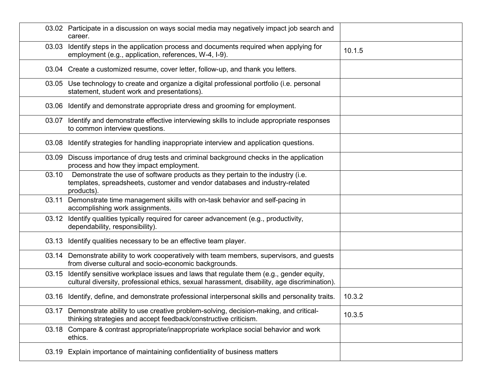|       | 03.02 Participate in a discussion on ways social media may negatively impact job search and<br>career.                                                                                |        |
|-------|---------------------------------------------------------------------------------------------------------------------------------------------------------------------------------------|--------|
| 03.03 | Identify steps in the application process and documents required when applying for<br>employment (e.g., application, references, W-4, I-9).                                           | 10.1.5 |
|       | 03.04 Create a customized resume, cover letter, follow-up, and thank you letters.                                                                                                     |        |
|       | 03.05 Use technology to create and organize a digital professional portfolio (i.e. personal<br>statement, student work and presentations).                                            |        |
|       | 03.06 Identify and demonstrate appropriate dress and grooming for employment.                                                                                                         |        |
| 03.07 | Identify and demonstrate effective interviewing skills to include appropriate responses<br>to common interview questions.                                                             |        |
|       | 03.08 Identify strategies for handling inappropriate interview and application questions.                                                                                             |        |
|       | 03.09 Discuss importance of drug tests and criminal background checks in the application<br>process and how they impact employment.                                                   |        |
| 03.10 | Demonstrate the use of software products as they pertain to the industry (i.e.<br>templates, spreadsheets, customer and vendor databases and industry-related<br>products).           |        |
| 03.11 | Demonstrate time management skills with on-task behavior and self-pacing in<br>accomplishing work assignments.                                                                        |        |
| 03.12 | Identify qualities typically required for career advancement (e.g., productivity,<br>dependability, responsibility).                                                                  |        |
|       | 03.13 Identify qualities necessary to be an effective team player.                                                                                                                    |        |
|       | 03.14 Demonstrate ability to work cooperatively with team members, supervisors, and guests<br>from diverse cultural and socio-economic backgrounds.                                   |        |
| 03.15 | Identify sensitive workplace issues and laws that regulate them (e.g., gender equity,<br>cultural diversity, professional ethics, sexual harassment, disability, age discrimination). |        |
|       | 03.16 Identify, define, and demonstrate professional interpersonal skills and personality traits.                                                                                     | 10.3.2 |
| 03.17 | Demonstrate ability to use creative problem-solving, decision-making, and critical-<br>thinking strategies and accept feedback/constructive criticism.                                | 10.3.5 |
| 03.18 | Compare & contrast appropriate/inappropriate workplace social behavior and work<br>ethics.                                                                                            |        |
| 03.19 | Explain importance of maintaining confidentiality of business matters                                                                                                                 |        |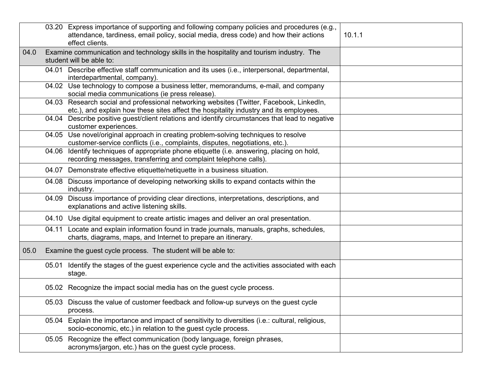|      |                                                               | 03.20 Express importance of supporting and following company policies and procedures (e.g.,<br>attendance, tardiness, email policy, social media, dress code) and how their actions<br>effect clients. | 10.1.1 |
|------|---------------------------------------------------------------|--------------------------------------------------------------------------------------------------------------------------------------------------------------------------------------------------------|--------|
| 04.0 |                                                               | Examine communication and technology skills in the hospitality and tourism industry. The<br>student will be able to:                                                                                   |        |
|      |                                                               | 04.01 Describe effective staff communication and its uses (i.e., interpersonal, departmental,<br>interdepartmental, company).                                                                          |        |
|      |                                                               | 04.02 Use technology to compose a business letter, memorandums, e-mail, and company<br>social media communications (ie press release).                                                                 |        |
|      |                                                               | 04.03 Research social and professional networking websites (Twitter, Facebook, LinkedIn,<br>etc.), and explain how these sites affect the hospitality industry and its employees.                      |        |
|      |                                                               | 04.04 Describe positive guest/client relations and identify circumstances that lead to negative<br>customer experiences.                                                                               |        |
|      |                                                               | 04.05 Use novel/original approach in creating problem-solving techniques to resolve<br>customer-service conflicts (i.e., complaints, disputes, negotiations, etc.).                                    |        |
|      | 04.06                                                         | Identify techniques of appropriate phone etiquette (i.e. answering, placing on hold,<br>recording messages, transferring and complaint telephone calls).                                               |        |
|      |                                                               | 04.07 Demonstrate effective etiquette/netiquette in a business situation.                                                                                                                              |        |
|      |                                                               | 04.08 Discuss importance of developing networking skills to expand contacts within the<br>industry.                                                                                                    |        |
|      | 04.09                                                         | Discuss importance of providing clear directions, interpretations, descriptions, and<br>explanations and active listening skills.                                                                      |        |
|      |                                                               | 04.10 Use digital equipment to create artistic images and deliver an oral presentation.                                                                                                                |        |
|      | 04.11                                                         | Locate and explain information found in trade journals, manuals, graphs, schedules,<br>charts, diagrams, maps, and Internet to prepare an itinerary.                                                   |        |
| 05.0 | Examine the guest cycle process. The student will be able to: |                                                                                                                                                                                                        |        |
|      | 05.01                                                         | Identify the stages of the guest experience cycle and the activities associated with each<br>stage.                                                                                                    |        |
|      |                                                               | 05.02 Recognize the impact social media has on the guest cycle process.                                                                                                                                |        |
|      |                                                               | 05.03 Discuss the value of customer feedback and follow-up surveys on the guest cycle<br>process.                                                                                                      |        |
|      |                                                               | 05.04 Explain the importance and impact of sensitivity to diversities (i.e.: cultural, religious,<br>socio-economic, etc.) in relation to the guest cycle process.                                     |        |
|      | 05.05                                                         | Recognize the effect communication (body language, foreign phrases,<br>acronyms/jargon, etc.) has on the guest cycle process.                                                                          |        |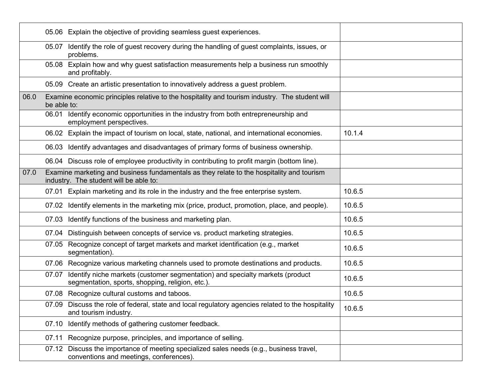|      | 05.06 Explain the objective of providing seamless guest experiences.                                                                      |        |
|------|-------------------------------------------------------------------------------------------------------------------------------------------|--------|
|      | Identify the role of guest recovery during the handling of guest complaints, issues, or<br>05.07<br>problems.                             |        |
|      | 05.08 Explain how and why guest satisfaction measurements help a business run smoothly<br>and profitably.                                 |        |
|      | 05.09 Create an artistic presentation to innovatively address a guest problem.                                                            |        |
| 06.0 | Examine economic principles relative to the hospitality and tourism industry. The student will<br>be able to:                             |        |
|      | 06.01 Identify economic opportunities in the industry from both entrepreneurship and<br>employment perspectives.                          |        |
|      | 06.02 Explain the impact of tourism on local, state, national, and international economies.                                               | 10.1.4 |
|      | 06.03 Identify advantages and disadvantages of primary forms of business ownership.                                                       |        |
|      | 06.04 Discuss role of employee productivity in contributing to profit margin (bottom line).                                               |        |
| 07.0 | Examine marketing and business fundamentals as they relate to the hospitality and tourism<br>industry. The student will be able to:       |        |
|      | 07.01 Explain marketing and its role in the industry and the free enterprise system.                                                      | 10.6.5 |
|      | 07.02 Identify elements in the marketing mix (price, product, promotion, place, and people).                                              | 10.6.5 |
|      | 07.03 Identify functions of the business and marketing plan.                                                                              | 10.6.5 |
|      | Distinguish between concepts of service vs. product marketing strategies.<br>07.04                                                        | 10.6.5 |
|      | Recognize concept of target markets and market identification (e.g., market<br>07.05<br>segmentation).                                    | 10.6.5 |
|      | 07.06 Recognize various marketing channels used to promote destinations and products.                                                     | 10.6.5 |
|      | Identify niche markets (customer segmentation) and specialty markets (product<br>07.07<br>segmentation, sports, shopping, religion, etc.) | 10.6.5 |
|      | 07.08 Recognize cultural customs and taboos.                                                                                              | 10.6.5 |
|      | 07.09 Discuss the role of federal, state and local regulatory agencies related to the hospitality<br>and tourism industry.                | 10.6.5 |
|      | Identify methods of gathering customer feedback.<br>07.10                                                                                 |        |
|      | Recognize purpose, principles, and importance of selling.<br>07.11                                                                        |        |
|      | Discuss the importance of meeting specialized sales needs (e.g., business travel,<br>07.12<br>conventions and meetings, conferences).     |        |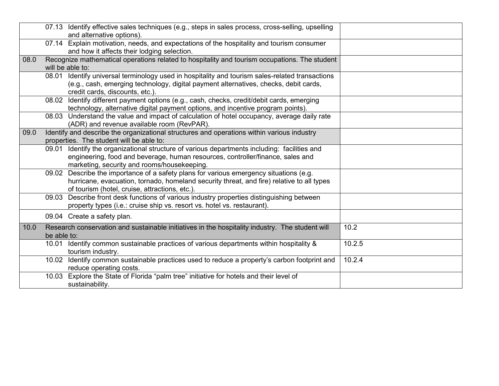|      | 07.13 Identify effective sales techniques (e.g., steps in sales process, cross-selling, upselling<br>and alternative options).                                                                                                        |        |
|------|---------------------------------------------------------------------------------------------------------------------------------------------------------------------------------------------------------------------------------------|--------|
|      | 07.14 Explain motivation, needs, and expectations of the hospitality and tourism consumer<br>and how it affects their lodging selection.                                                                                              |        |
| 08.0 | Recognize mathematical operations related to hospitality and tourism occupations. The student<br>will be able to:                                                                                                                     |        |
|      | Identify universal terminology used in hospitality and tourism sales-related transactions<br>08.01<br>(e.g., cash, emerging technology, digital payment alternatives, checks, debit cards,<br>credit cards, discounts, etc.).         |        |
|      | 08.02 Identify different payment options (e.g., cash, checks, credit/debit cards, emerging<br>technology, alternative digital payment options, and incentive program points).                                                         |        |
|      | 08.03 Understand the value and impact of calculation of hotel occupancy, average daily rate<br>(ADR) and revenue available room (RevPAR).                                                                                             |        |
| 09.0 | Identify and describe the organizational structures and operations within various industry<br>properties. The student will be able to:                                                                                                |        |
|      | 09.01 Identify the organizational structure of various departments including: facilities and<br>engineering, food and beverage, human resources, controller/finance, sales and<br>marketing, security and rooms/housekeeping.         |        |
|      | 09.02 Describe the importance of a safety plans for various emergency situations (e.g.<br>hurricane, evacuation, tornado, homeland security threat, and fire) relative to all types<br>of tourism (hotel, cruise, attractions, etc.). |        |
|      | Describe front desk functions of various industry properties distinguishing between<br>09.03<br>property types (i.e.: cruise ship vs. resort vs. hotel vs. restaurant).                                                               |        |
|      | 09.04 Create a safety plan.                                                                                                                                                                                                           |        |
| 10.0 | Research conservation and sustainable initiatives in the hospitality industry. The student will<br>be able to:                                                                                                                        | 10.2   |
|      | 10.01 Identify common sustainable practices of various departments within hospitality &<br>tourism industry.                                                                                                                          | 10.2.5 |
|      | 10.02 Identify common sustainable practices used to reduce a property's carbon footprint and<br>reduce operating costs.                                                                                                               | 10.2.4 |
|      | 10.03 Explore the State of Florida "palm tree" initiative for hotels and their level of<br>sustainability.                                                                                                                            |        |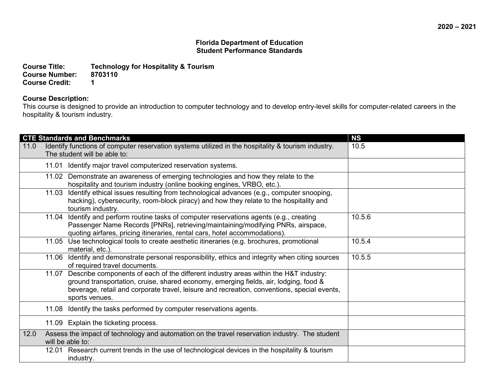**Course Title: Technology for Hospitality & Tourism Course Number: 87**<br>Course Credit: 1 **Course Credit: 1**

### **Course Description:**

This course is designed to provide an introduction to computer technology and to develop entry-level skills for computer-related careers in the hospitality & tourism industry.

|      | <b>CTE Standards and Benchmarks</b>                                                                                                                                                                                                                                                                 | <b>NS</b> |
|------|-----------------------------------------------------------------------------------------------------------------------------------------------------------------------------------------------------------------------------------------------------------------------------------------------------|-----------|
| 11.0 | Identify functions of computer reservation systems utilized in the hospitality & tourism industry.<br>The student will be able to:                                                                                                                                                                  | 10.5      |
|      | 11.01 Identify major travel computerized reservation systems.                                                                                                                                                                                                                                       |           |
|      | 11.02 Demonstrate an awareness of emerging technologies and how they relate to the<br>hospitality and tourism industry (online booking engines, VRBO, etc.).                                                                                                                                        |           |
|      | 11.03 Identify ethical issues resulting from technological advances (e.g., computer snooping,<br>hacking), cybersecurity, room-block piracy) and how they relate to the hospitality and<br>tourism industry.                                                                                        |           |
|      | 11.04 Identify and perform routine tasks of computer reservations agents (e.g., creating<br>Passenger Name Records [PNRs], retrieving/maintaining/modifying PNRs, airspace,<br>quoting airfares, pricing itineraries, rental cars, hotel accommodations).                                           | 10.5.6    |
|      | 11.05 Use technological tools to create aesthetic itineraries (e.g. brochures, promotional<br>material, etc.)                                                                                                                                                                                       | 10.5.4    |
|      | 11.06 Identify and demonstrate personal responsibility, ethics and integrity when citing sources<br>of required travel documents.                                                                                                                                                                   | 10.5.5    |
|      | 11.07 Describe components of each of the different industry areas within the H&T industry:<br>ground transportation, cruise, shared economy, emerging fields, air, lodging, food &<br>beverage, retail and corporate travel, leisure and recreation, conventions, special events,<br>sports venues. |           |
|      | 11.08 Identify the tasks performed by computer reservations agents.                                                                                                                                                                                                                                 |           |
|      | 11.09 Explain the ticketing process.                                                                                                                                                                                                                                                                |           |
| 12.0 | Assess the impact of technology and automation on the travel reservation industry. The student<br>will be able to:                                                                                                                                                                                  |           |
|      | 12.01 Research current trends in the use of technological devices in the hospitality & tourism<br>industry.                                                                                                                                                                                         |           |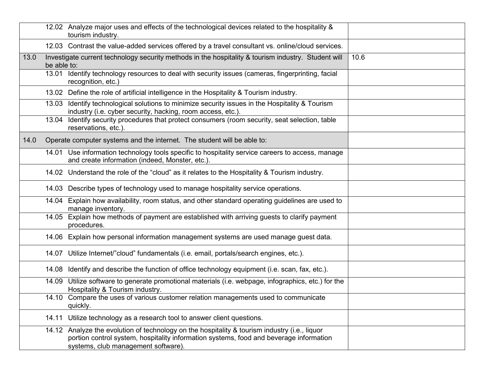|      | tourism industry.                                                       | 12.02 Analyze major uses and effects of the technological devices related to the hospitality &                                                                                          |      |
|------|-------------------------------------------------------------------------|-----------------------------------------------------------------------------------------------------------------------------------------------------------------------------------------|------|
|      |                                                                         | 12.03 Contrast the value-added services offered by a travel consultant vs. online/cloud services.                                                                                       |      |
| 13.0 | be able to:                                                             | Investigate current technology security methods in the hospitality & tourism industry. Student will                                                                                     | 10.6 |
|      | recognition, etc.)                                                      | 13.01 Identify technology resources to deal with security issues (cameras, fingerprinting, facial                                                                                       |      |
|      |                                                                         | 13.02 Define the role of artificial intelligence in the Hospitality & Tourism industry.                                                                                                 |      |
|      | industry (i.e. cyber security, hacking, room access, etc.).             | 13.03 Identify technological solutions to minimize security issues in the Hospitality & Tourism                                                                                         |      |
|      | reservations, etc.).                                                    | 13.04 Identify security procedures that protect consumers (room security, seat selection, table                                                                                         |      |
| 14.0 | Operate computer systems and the internet. The student will be able to: |                                                                                                                                                                                         |      |
|      | 14.01<br>and create information (indeed, Monster, etc.).                | Use information technology tools specific to hospitality service careers to access, manage                                                                                              |      |
|      |                                                                         | 14.02 Understand the role of the "cloud" as it relates to the Hospitality & Tourism industry.                                                                                           |      |
|      |                                                                         | 14.03 Describe types of technology used to manage hospitality service operations.                                                                                                       |      |
|      | manage inventory.                                                       | 14.04 Explain how availability, room status, and other standard operating guidelines are used to                                                                                        |      |
|      | procedures.                                                             | 14.05 Explain how methods of payment are established with arriving guests to clarify payment                                                                                            |      |
|      |                                                                         | 14.06 Explain how personal information management systems are used manage guest data.                                                                                                   |      |
|      |                                                                         | 14.07 Utilize Internet/"cloud" fundamentals (i.e. email, portals/search engines, etc.).                                                                                                 |      |
|      |                                                                         | 14.08 Identify and describe the function of office technology equipment (i.e. scan, fax, etc.).                                                                                         |      |
|      | Hospitality & Tourism industry.                                         | 14.09 Utilize software to generate promotional materials (i.e. webpage, infographics, etc.) for the                                                                                     |      |
|      | quickly.                                                                | 14.10 Compare the uses of various customer relation managements used to communicate                                                                                                     |      |
|      | 14.11                                                                   | Utilize technology as a research tool to answer client questions.                                                                                                                       |      |
|      | systems, club management software).                                     | 14.12 Analyze the evolution of technology on the hospitality & tourism industry (i.e., liquor<br>portion control system, hospitality information systems, food and beverage information |      |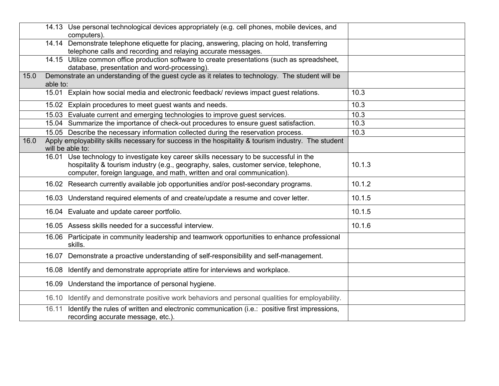| 14.13 Use personal technological devices appropriately (e.g. cell phones, mobile devices, and<br>computers).<br>14.14 Demonstrate telephone etiquette for placing, answering, placing on hold, transferring<br>telephone calls and recording and relaying accurate messages.<br>14.15 Utilize common office production software to create presentations (such as spreadsheet,<br>database, presentation and word-processing).<br>Demonstrate an understanding of the guest cycle as it relates to technology. The student will be<br>15.0<br>able to:<br>15.01 Explain how social media and electronic feedback/ reviews impact guest relations.<br>10.3<br>15.02 Explain procedures to meet guest wants and needs.<br>10.3<br>15.03 Evaluate current and emerging technologies to improve guest services.<br>10.3<br>15.04 Summarize the importance of check-out procedures to ensure guest satisfaction.<br>10.3<br>15.05 Describe the necessary information collected during the reservation process.<br>10.3<br>Apply employability skills necessary for success in the hospitality & tourism industry. The student<br>16.0<br>will be able to:<br>16.01 Use technology to investigate key career skills necessary to be successful in the<br>hospitality & tourism industry (e.g., geography, sales, customer service, telephone,<br>10.1.3<br>computer, foreign language, and math, written and oral communication).<br>16.02 Research currently available job opportunities and/or post-secondary programs.<br>10.1.2<br>10.1.5<br>16.03 Understand required elements of and create/update a resume and cover letter.<br>16.04 Evaluate and update career portfolio.<br>10.1.5<br>16.05 Assess skills needed for a successful interview.<br>10.1.6 |  |
|-----------------------------------------------------------------------------------------------------------------------------------------------------------------------------------------------------------------------------------------------------------------------------------------------------------------------------------------------------------------------------------------------------------------------------------------------------------------------------------------------------------------------------------------------------------------------------------------------------------------------------------------------------------------------------------------------------------------------------------------------------------------------------------------------------------------------------------------------------------------------------------------------------------------------------------------------------------------------------------------------------------------------------------------------------------------------------------------------------------------------------------------------------------------------------------------------------------------------------------------------------------------------------------------------------------------------------------------------------------------------------------------------------------------------------------------------------------------------------------------------------------------------------------------------------------------------------------------------------------------------------------------------------------------------------------------------------------------------------------------------------------|--|
|                                                                                                                                                                                                                                                                                                                                                                                                                                                                                                                                                                                                                                                                                                                                                                                                                                                                                                                                                                                                                                                                                                                                                                                                                                                                                                                                                                                                                                                                                                                                                                                                                                                                                                                                                           |  |
|                                                                                                                                                                                                                                                                                                                                                                                                                                                                                                                                                                                                                                                                                                                                                                                                                                                                                                                                                                                                                                                                                                                                                                                                                                                                                                                                                                                                                                                                                                                                                                                                                                                                                                                                                           |  |
|                                                                                                                                                                                                                                                                                                                                                                                                                                                                                                                                                                                                                                                                                                                                                                                                                                                                                                                                                                                                                                                                                                                                                                                                                                                                                                                                                                                                                                                                                                                                                                                                                                                                                                                                                           |  |
|                                                                                                                                                                                                                                                                                                                                                                                                                                                                                                                                                                                                                                                                                                                                                                                                                                                                                                                                                                                                                                                                                                                                                                                                                                                                                                                                                                                                                                                                                                                                                                                                                                                                                                                                                           |  |
|                                                                                                                                                                                                                                                                                                                                                                                                                                                                                                                                                                                                                                                                                                                                                                                                                                                                                                                                                                                                                                                                                                                                                                                                                                                                                                                                                                                                                                                                                                                                                                                                                                                                                                                                                           |  |
|                                                                                                                                                                                                                                                                                                                                                                                                                                                                                                                                                                                                                                                                                                                                                                                                                                                                                                                                                                                                                                                                                                                                                                                                                                                                                                                                                                                                                                                                                                                                                                                                                                                                                                                                                           |  |
|                                                                                                                                                                                                                                                                                                                                                                                                                                                                                                                                                                                                                                                                                                                                                                                                                                                                                                                                                                                                                                                                                                                                                                                                                                                                                                                                                                                                                                                                                                                                                                                                                                                                                                                                                           |  |
|                                                                                                                                                                                                                                                                                                                                                                                                                                                                                                                                                                                                                                                                                                                                                                                                                                                                                                                                                                                                                                                                                                                                                                                                                                                                                                                                                                                                                                                                                                                                                                                                                                                                                                                                                           |  |
|                                                                                                                                                                                                                                                                                                                                                                                                                                                                                                                                                                                                                                                                                                                                                                                                                                                                                                                                                                                                                                                                                                                                                                                                                                                                                                                                                                                                                                                                                                                                                                                                                                                                                                                                                           |  |
|                                                                                                                                                                                                                                                                                                                                                                                                                                                                                                                                                                                                                                                                                                                                                                                                                                                                                                                                                                                                                                                                                                                                                                                                                                                                                                                                                                                                                                                                                                                                                                                                                                                                                                                                                           |  |
|                                                                                                                                                                                                                                                                                                                                                                                                                                                                                                                                                                                                                                                                                                                                                                                                                                                                                                                                                                                                                                                                                                                                                                                                                                                                                                                                                                                                                                                                                                                                                                                                                                                                                                                                                           |  |
|                                                                                                                                                                                                                                                                                                                                                                                                                                                                                                                                                                                                                                                                                                                                                                                                                                                                                                                                                                                                                                                                                                                                                                                                                                                                                                                                                                                                                                                                                                                                                                                                                                                                                                                                                           |  |
|                                                                                                                                                                                                                                                                                                                                                                                                                                                                                                                                                                                                                                                                                                                                                                                                                                                                                                                                                                                                                                                                                                                                                                                                                                                                                                                                                                                                                                                                                                                                                                                                                                                                                                                                                           |  |
|                                                                                                                                                                                                                                                                                                                                                                                                                                                                                                                                                                                                                                                                                                                                                                                                                                                                                                                                                                                                                                                                                                                                                                                                                                                                                                                                                                                                                                                                                                                                                                                                                                                                                                                                                           |  |
|                                                                                                                                                                                                                                                                                                                                                                                                                                                                                                                                                                                                                                                                                                                                                                                                                                                                                                                                                                                                                                                                                                                                                                                                                                                                                                                                                                                                                                                                                                                                                                                                                                                                                                                                                           |  |
|                                                                                                                                                                                                                                                                                                                                                                                                                                                                                                                                                                                                                                                                                                                                                                                                                                                                                                                                                                                                                                                                                                                                                                                                                                                                                                                                                                                                                                                                                                                                                                                                                                                                                                                                                           |  |
|                                                                                                                                                                                                                                                                                                                                                                                                                                                                                                                                                                                                                                                                                                                                                                                                                                                                                                                                                                                                                                                                                                                                                                                                                                                                                                                                                                                                                                                                                                                                                                                                                                                                                                                                                           |  |
|                                                                                                                                                                                                                                                                                                                                                                                                                                                                                                                                                                                                                                                                                                                                                                                                                                                                                                                                                                                                                                                                                                                                                                                                                                                                                                                                                                                                                                                                                                                                                                                                                                                                                                                                                           |  |
|                                                                                                                                                                                                                                                                                                                                                                                                                                                                                                                                                                                                                                                                                                                                                                                                                                                                                                                                                                                                                                                                                                                                                                                                                                                                                                                                                                                                                                                                                                                                                                                                                                                                                                                                                           |  |
|                                                                                                                                                                                                                                                                                                                                                                                                                                                                                                                                                                                                                                                                                                                                                                                                                                                                                                                                                                                                                                                                                                                                                                                                                                                                                                                                                                                                                                                                                                                                                                                                                                                                                                                                                           |  |
|                                                                                                                                                                                                                                                                                                                                                                                                                                                                                                                                                                                                                                                                                                                                                                                                                                                                                                                                                                                                                                                                                                                                                                                                                                                                                                                                                                                                                                                                                                                                                                                                                                                                                                                                                           |  |
|                                                                                                                                                                                                                                                                                                                                                                                                                                                                                                                                                                                                                                                                                                                                                                                                                                                                                                                                                                                                                                                                                                                                                                                                                                                                                                                                                                                                                                                                                                                                                                                                                                                                                                                                                           |  |
|                                                                                                                                                                                                                                                                                                                                                                                                                                                                                                                                                                                                                                                                                                                                                                                                                                                                                                                                                                                                                                                                                                                                                                                                                                                                                                                                                                                                                                                                                                                                                                                                                                                                                                                                                           |  |
|                                                                                                                                                                                                                                                                                                                                                                                                                                                                                                                                                                                                                                                                                                                                                                                                                                                                                                                                                                                                                                                                                                                                                                                                                                                                                                                                                                                                                                                                                                                                                                                                                                                                                                                                                           |  |
| 16.06 Participate in community leadership and teamwork opportunities to enhance professional                                                                                                                                                                                                                                                                                                                                                                                                                                                                                                                                                                                                                                                                                                                                                                                                                                                                                                                                                                                                                                                                                                                                                                                                                                                                                                                                                                                                                                                                                                                                                                                                                                                              |  |
| skills.                                                                                                                                                                                                                                                                                                                                                                                                                                                                                                                                                                                                                                                                                                                                                                                                                                                                                                                                                                                                                                                                                                                                                                                                                                                                                                                                                                                                                                                                                                                                                                                                                                                                                                                                                   |  |
| Demonstrate a proactive understanding of self-responsibility and self-management.<br>16.07                                                                                                                                                                                                                                                                                                                                                                                                                                                                                                                                                                                                                                                                                                                                                                                                                                                                                                                                                                                                                                                                                                                                                                                                                                                                                                                                                                                                                                                                                                                                                                                                                                                                |  |
| 16.08 Identify and demonstrate appropriate attire for interviews and workplace.                                                                                                                                                                                                                                                                                                                                                                                                                                                                                                                                                                                                                                                                                                                                                                                                                                                                                                                                                                                                                                                                                                                                                                                                                                                                                                                                                                                                                                                                                                                                                                                                                                                                           |  |
|                                                                                                                                                                                                                                                                                                                                                                                                                                                                                                                                                                                                                                                                                                                                                                                                                                                                                                                                                                                                                                                                                                                                                                                                                                                                                                                                                                                                                                                                                                                                                                                                                                                                                                                                                           |  |
| 16.09 Understand the importance of personal hygiene.                                                                                                                                                                                                                                                                                                                                                                                                                                                                                                                                                                                                                                                                                                                                                                                                                                                                                                                                                                                                                                                                                                                                                                                                                                                                                                                                                                                                                                                                                                                                                                                                                                                                                                      |  |
| 16.10 Identify and demonstrate positive work behaviors and personal qualities for employability.                                                                                                                                                                                                                                                                                                                                                                                                                                                                                                                                                                                                                                                                                                                                                                                                                                                                                                                                                                                                                                                                                                                                                                                                                                                                                                                                                                                                                                                                                                                                                                                                                                                          |  |
| 16.11 Identify the rules of written and electronic communication (i.e.: positive first impressions,                                                                                                                                                                                                                                                                                                                                                                                                                                                                                                                                                                                                                                                                                                                                                                                                                                                                                                                                                                                                                                                                                                                                                                                                                                                                                                                                                                                                                                                                                                                                                                                                                                                       |  |
| recording accurate message, etc.)                                                                                                                                                                                                                                                                                                                                                                                                                                                                                                                                                                                                                                                                                                                                                                                                                                                                                                                                                                                                                                                                                                                                                                                                                                                                                                                                                                                                                                                                                                                                                                                                                                                                                                                         |  |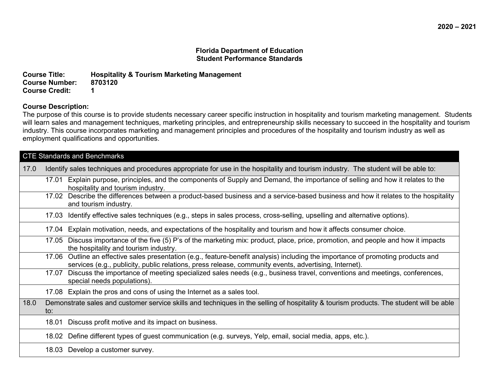**Course Title: Hospitality & Tourism Marketing Management Course Number: Course Credit: 1**

### **Course Description:**

The purpose of this course is to provide students necessary career specific instruction in hospitality and tourism marketing management. Students will learn sales and management techniques, marketing principles, and entrepreneurship skills necessary to succeed in the hospitality and tourism industry. This course incorporates marketing and management principles and procedures of the hospitality and tourism industry as well as employment qualifications and opportunities.

| <b>CTE Standards and Benchmarks</b> |                                                                                                                                                                                                                                            |  |  |
|-------------------------------------|--------------------------------------------------------------------------------------------------------------------------------------------------------------------------------------------------------------------------------------------|--|--|
| 17.0                                | Identify sales techniques and procedures appropriate for use in the hospitality and tourism industry. The student will be able to:                                                                                                         |  |  |
|                                     | Explain purpose, principles, and the components of Supply and Demand, the importance of selling and how it relates to the<br>17.01<br>hospitality and tourism industry.                                                                    |  |  |
|                                     | 17.02 Describe the differences between a product-based business and a service-based business and how it relates to the hospitality<br>and tourism industry.                                                                                |  |  |
|                                     | Identify effective sales techniques (e.g., steps in sales process, cross-selling, upselling and alternative options).<br>17.03                                                                                                             |  |  |
|                                     | 17.04 Explain motivation, needs, and expectations of the hospitality and tourism and how it affects consumer choice.                                                                                                                       |  |  |
|                                     | 17.05 Discuss importance of the five (5) P's of the marketing mix: product, place, price, promotion, and people and how it impacts<br>the hospitality and tourism industry.                                                                |  |  |
|                                     | 17.06 Outline an effective sales presentation (e.g., feature-benefit analysis) including the importance of promoting products and<br>services (e.g., publicity, public relations, press release, community events, advertising, Internet). |  |  |
|                                     | 17.07 Discuss the importance of meeting specialized sales needs (e.g., business travel, conventions and meetings, conferences,<br>special needs populations).                                                                              |  |  |
|                                     | 17.08 Explain the pros and cons of using the Internet as a sales tool.                                                                                                                                                                     |  |  |
| 18.0                                | Demonstrate sales and customer service skills and techniques in the selling of hospitality & tourism products. The student will be able<br>to:                                                                                             |  |  |
|                                     | Discuss profit motive and its impact on business.<br>18.01                                                                                                                                                                                 |  |  |
|                                     | 18.02 Define different types of guest communication (e.g. surveys, Yelp, email, social media, apps, etc.).                                                                                                                                 |  |  |
|                                     | 18.03 Develop a customer survey.                                                                                                                                                                                                           |  |  |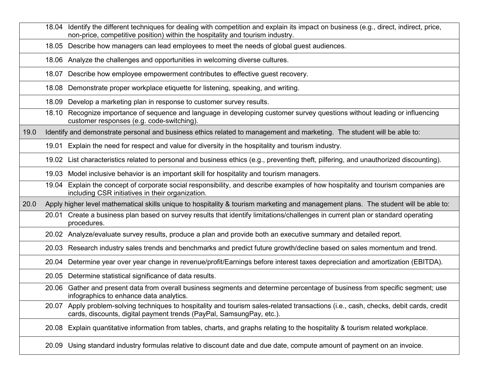|      | Identify the different techniques for dealing with competition and explain its impact on business (e.g., direct, indirect, price,<br>18.04<br>non-price, competitive position) within the hospitality and tourism industry. |
|------|-----------------------------------------------------------------------------------------------------------------------------------------------------------------------------------------------------------------------------|
|      | Describe how managers can lead employees to meet the needs of global guest audiences.<br>18.05                                                                                                                              |
|      | 18.06 Analyze the challenges and opportunities in welcoming diverse cultures.                                                                                                                                               |
|      | Describe how employee empowerment contributes to effective guest recovery.<br>18.07                                                                                                                                         |
|      | Demonstrate proper workplace etiquette for listening, speaking, and writing.<br>18.08                                                                                                                                       |
|      | Develop a marketing plan in response to customer survey results.<br>18.09                                                                                                                                                   |
|      | Recognize importance of sequence and language in developing customer survey questions without leading or influencing<br>18.10<br>customer responses (e.g. code-switching).                                                  |
| 19.0 | Identify and demonstrate personal and business ethics related to management and marketing. The student will be able to:                                                                                                     |
|      | Explain the need for respect and value for diversity in the hospitality and tourism industry.<br>19.01                                                                                                                      |
|      | 19.02 List characteristics related to personal and business ethics (e.g., preventing theft, pilfering, and unauthorized discounting).                                                                                       |
|      | 19.03 Model inclusive behavior is an important skill for hospitality and tourism managers.                                                                                                                                  |
|      | Explain the concept of corporate social responsibility, and describe examples of how hospitality and tourism companies are<br>19.04<br>including CSR initiatives in their organization.                                     |
| 20.0 | Apply higher level mathematical skills unique to hospitality & tourism marketing and management plans. The student will be able to:                                                                                         |
|      | Create a business plan based on survey results that identify limitations/challenges in current plan or standard operating<br>20.01<br>procedures.                                                                           |
|      | 20.02 Analyze/evaluate survey results, produce a plan and provide both an executive summary and detailed report.                                                                                                            |
|      | 20.03 Research industry sales trends and benchmarks and predict future growth/decline based on sales momentum and trend.                                                                                                    |
|      | Determine year over year change in revenue/profit/Earnings before interest taxes depreciation and amortization (EBITDA).<br>20.04                                                                                           |
|      | 20.05 Determine statistical significance of data results.                                                                                                                                                                   |
|      | Gather and present data from overall business segments and determine percentage of business from specific segment; use<br>20.06<br>infographics to enhance data analytics.                                                  |
|      | 20.07 Apply problem-solving techniques to hospitality and tourism sales-related transactions (i.e., cash, checks, debit cards, credit<br>cards, discounts, digital payment trends (PayPal, SamsungPay, etc.).               |
|      | Explain quantitative information from tables, charts, and graphs relating to the hospitality & tourism related workplace.<br>20.08                                                                                          |
|      | Using standard industry formulas relative to discount date and due date, compute amount of payment on an invoice.<br>20.09                                                                                                  |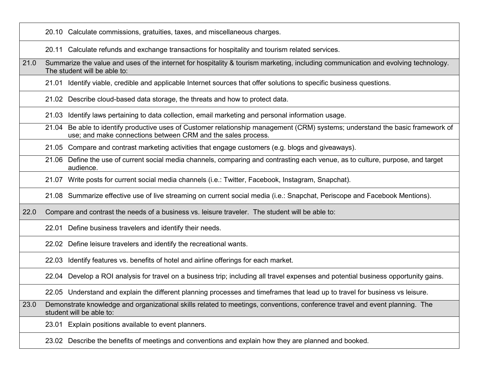20.10 Calculate commissions, gratuities, taxes, and miscellaneous charges.

20.11 Calculate refunds and exchange transactions for hospitality and tourism related services.

21.0 Summarize the value and uses of the internet for hospitality & tourism marketing, including communication and evolving technology. The student will be able to:

21.01 Identify viable, credible and applicable Internet sources that offer solutions to specific business questions.

21.02 Describe cloud-based data storage, the threats and how to protect data.

21.03 Identify laws pertaining to data collection, email marketing and personal information usage.

21.04 Be able to identify productive uses of Customer relationship management (CRM) systems; understand the basic framework of use; and make connections between CRM and the sales process.

21.05 Compare and contrast marketing activities that engage customers (e.g. blogs and giveaways).

21.06 Define the use of current social media channels, comparing and contrasting each venue, as to culture, purpose, and target audience.

21.07 Write posts for current social media channels (i.e.: Twitter, Facebook, Instagram, Snapchat).

21.08 Summarize effective use of live streaming on current social media (i.e.: Snapchat, Periscope and Facebook Mentions).

22.0 Compare and contrast the needs of a business vs. leisure traveler. The student will be able to:

22.01 Define business travelers and identify their needs.

22.02 Define leisure travelers and identify the recreational wants.

22.03 Identify features vs. benefits of hotel and airline offerings for each market.

22.04 Develop a ROI analysis for travel on a business trip; including all travel expenses and potential business opportunity gains.

22.05 Understand and explain the different planning processes and timeframes that lead up to travel for business vs leisure.

23.0 Demonstrate knowledge and organizational skills related to meetings, conventions, conference travel and event planning. The student will be able to:

23.01 Explain positions available to event planners.

23.02 Describe the benefits of meetings and conventions and explain how they are planned and booked.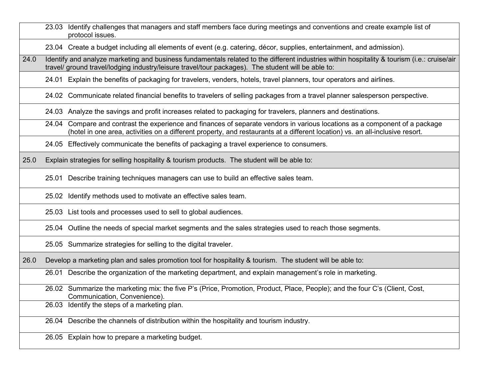|      | 23.03 Identify challenges that managers and staff members face during meetings and conventions and create example list of<br>protocol issues.                                                                                                                   |
|------|-----------------------------------------------------------------------------------------------------------------------------------------------------------------------------------------------------------------------------------------------------------------|
|      | 23.04 Create a budget including all elements of event (e.g. catering, décor, supplies, entertainment, and admission).                                                                                                                                           |
| 24.0 | Identify and analyze marketing and business fundamentals related to the different industries within hospitality & tourism (i.e.: cruise/air<br>travel/ ground travel/lodging industry/leisure travel/tour packages). The student will be able to:               |
|      | 24.01 Explain the benefits of packaging for travelers, venders, hotels, travel planners, tour operators and airlines.                                                                                                                                           |
|      | 24.02 Communicate related financial benefits to travelers of selling packages from a travel planner salesperson perspective.                                                                                                                                    |
|      | 24.03 Analyze the savings and profit increases related to packaging for travelers, planners and destinations.                                                                                                                                                   |
|      | Compare and contrast the experience and finances of separate vendors in various locations as a component of a package<br>24.04<br>(hotel in one area, activities on a different property, and restaurants at a different location) vs. an all-inclusive resort. |
|      | 24.05 Effectively communicate the benefits of packaging a travel experience to consumers.                                                                                                                                                                       |
| 25.0 | Explain strategies for selling hospitality & tourism products. The student will be able to:                                                                                                                                                                     |
|      | 25.01 Describe training techniques managers can use to build an effective sales team.                                                                                                                                                                           |
|      | 25.02 Identify methods used to motivate an effective sales team.                                                                                                                                                                                                |
|      | 25.03 List tools and processes used to sell to global audiences.                                                                                                                                                                                                |
|      | 25.04 Outline the needs of special market segments and the sales strategies used to reach those segments.                                                                                                                                                       |
|      | 25.05 Summarize strategies for selling to the digital traveler.                                                                                                                                                                                                 |
| 26.0 | Develop a marketing plan and sales promotion tool for hospitality & tourism. The student will be able to:                                                                                                                                                       |
|      | 26.01 Describe the organization of the marketing department, and explain management's role in marketing.                                                                                                                                                        |
|      | 26.02 Summarize the marketing mix: the five P's (Price, Promotion, Product, Place, People); and the four C's (Client, Cost,<br>Communication, Convenience).                                                                                                     |
|      | 26.03 Identify the steps of a marketing plan.                                                                                                                                                                                                                   |
|      | 26.04 Describe the channels of distribution within the hospitality and tourism industry.                                                                                                                                                                        |
|      | 26.05 Explain how to prepare a marketing budget.                                                                                                                                                                                                                |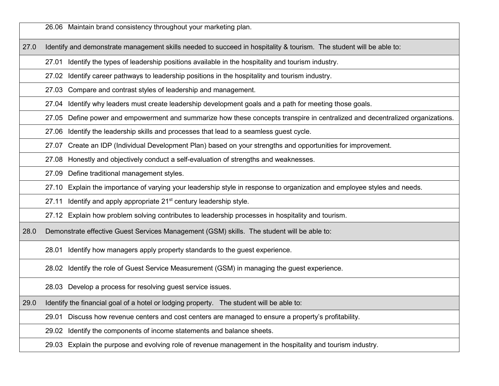26.06 Maintain brand consistency throughout your marketing plan.

27.0 Identify and demonstrate management skills needed to succeed in hospitality & tourism. The student will be able to:

27.01 Identify the types of leadership positions available in the hospitality and tourism industry.

27.02 Identify career pathways to leadership positions in the hospitality and tourism industry.

27.03 Compare and contrast styles of leadership and management.

27.04 Identify why leaders must create leadership development goals and a path for meeting those goals.

27.05 Define power and empowerment and summarize how these concepts transpire in centralized and decentralized organizations.

27.06 Identify the leadership skills and processes that lead to a seamless guest cycle.

27.07 Create an IDP (Individual Development Plan) based on your strengths and opportunities for improvement.

27.08 Honestly and objectively conduct a self-evaluation of strengths and weaknesses.

27.09 Define traditional management styles.

27.10 Explain the importance of varying your leadership style in response to organization and employee styles and needs.

27.11 Identify and apply appropriate 21<sup>st</sup> century leadership style.

27.12 Explain how problem solving contributes to leadership processes in hospitality and tourism.

28.0 Demonstrate effective Guest Services Management (GSM) skills. The student will be able to:

28.01 Identify how managers apply property standards to the guest experience.

28.02 Identify the role of Guest Service Measurement (GSM) in managing the guest experience.

28.03 Develop a process for resolving guest service issues.

29.0 Identify the financial goal of a hotel or lodging property. The student will be able to:

29.01 Discuss how revenue centers and cost centers are managed to ensure a property's profitability.

29.02 Identify the components of income statements and balance sheets.

29.03 Explain the purpose and evolving role of revenue management in the hospitality and tourism industry.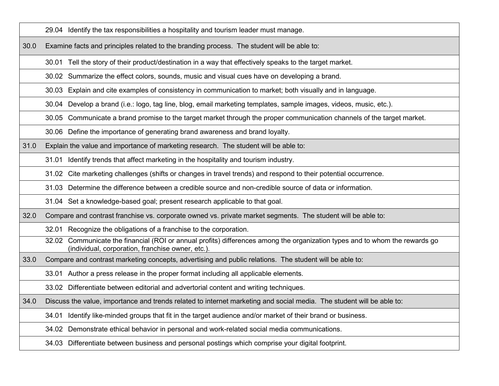29.04 Identify the tax responsibilities a hospitality and tourism leader must manage.

30.0 Examine facts and principles related to the branding process. The student will be able to:

30.01 Tell the story of their product/destination in a way that effectively speaks to the target market.

30.02 Summarize the effect colors, sounds, music and visual cues have on developing a brand.

30.03 Explain and cite examples of consistency in communication to market; both visually and in language.

30.04 Develop a brand (i.e.: logo, tag line, blog, email marketing templates, sample images, videos, music, etc.).

30.05 Communicate a brand promise to the target market through the proper communication channels of the target market.

30.06 Define the importance of generating brand awareness and brand loyalty.

31.0 Explain the value and importance of marketing research. The student will be able to:

31.01 Identify trends that affect marketing in the hospitality and tourism industry.

31.02 Cite marketing challenges (shifts or changes in travel trends) and respond to their potential occurrence.

31.03 Determine the difference between a credible source and non-credible source of data or information.

31.04 Set a knowledge-based goal; present research applicable to that goal.

32.0 Compare and contrast franchise vs. corporate owned vs. private market segments. The student will be able to:

32.01 Recognize the obligations of a franchise to the corporation.

32.02 Communicate the financial (ROI or annual profits) differences among the organization types and to whom the rewards go (individual, corporation, franchise owner, etc.).

33.0 Compare and contrast marketing concepts, advertising and public relations. The student will be able to:

33.01 Author a press release in the proper format including all applicable elements.

33.02 Differentiate between editorial and advertorial content and writing techniques.

34.0 Discuss the value, importance and trends related to internet marketing and social media. The student will be able to:

34.01 Identify like-minded groups that fit in the target audience and/or market of their brand or business.

34.02 Demonstrate ethical behavior in personal and work-related social media communications.

34.03 Differentiate between business and personal postings which comprise your digital footprint.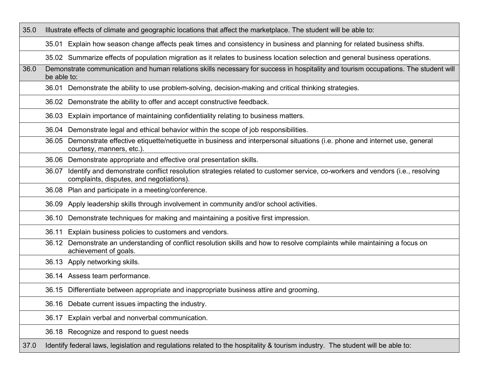| 35.0 | Illustrate effects of climate and geographic locations that affect the marketplace. The student will be able to:                                                               |  |  |
|------|--------------------------------------------------------------------------------------------------------------------------------------------------------------------------------|--|--|
|      | 35.01 Explain how season change affects peak times and consistency in business and planning for related business shifts.                                                       |  |  |
|      | 35.02 Summarize effects of population migration as it relates to business location selection and general business operations.                                                  |  |  |
| 36.0 | Demonstrate communication and human relations skills necessary for success in hospitality and tourism occupations. The student will<br>be able to:                             |  |  |
|      | 36.01 Demonstrate the ability to use problem-solving, decision-making and critical thinking strategies.                                                                        |  |  |
|      | 36.02 Demonstrate the ability to offer and accept constructive feedback.                                                                                                       |  |  |
|      | 36.03 Explain importance of maintaining confidentiality relating to business matters.                                                                                          |  |  |
|      | Demonstrate legal and ethical behavior within the scope of job responsibilities.<br>36.04                                                                                      |  |  |
|      | 36.05 Demonstrate effective etiquette/netiquette in business and interpersonal situations (i.e. phone and internet use, general<br>courtesy, manners, etc.).                   |  |  |
|      | 36.06 Demonstrate appropriate and effective oral presentation skills.                                                                                                          |  |  |
|      | 36.07 Identify and demonstrate conflict resolution strategies related to customer service, co-workers and vendors (i.e., resolving<br>complaints, disputes, and negotiations). |  |  |
|      | 36.08 Plan and participate in a meeting/conference.                                                                                                                            |  |  |
|      | Apply leadership skills through involvement in community and/or school activities.<br>36.09                                                                                    |  |  |
|      | Demonstrate techniques for making and maintaining a positive first impression.<br>36.10                                                                                        |  |  |
|      | Explain business policies to customers and vendors.<br>36.11                                                                                                                   |  |  |
|      | 36.12 Demonstrate an understanding of conflict resolution skills and how to resolve complaints while maintaining a focus on<br>achievement of goals.                           |  |  |
|      | 36.13 Apply networking skills.                                                                                                                                                 |  |  |
|      | 36.14 Assess team performance.                                                                                                                                                 |  |  |
|      | 36.15 Differentiate between appropriate and inappropriate business attire and grooming.                                                                                        |  |  |
|      | 36.16 Debate current issues impacting the industry.                                                                                                                            |  |  |
|      | 36.17 Explain verbal and nonverbal communication.                                                                                                                              |  |  |
|      | 36.18 Recognize and respond to guest needs                                                                                                                                     |  |  |
| 37.0 | Identify federal laws, legislation and regulations related to the hospitality & tourism industry. The student will be able to:                                                 |  |  |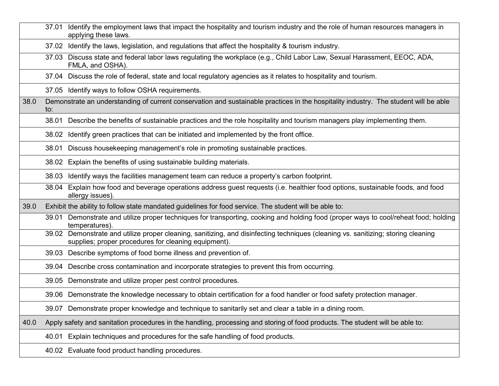|      | 37.01 Identify the employment laws that impact the hospitality and tourism industry and the role of human resources managers in<br>applying these laws.                                   |
|------|-------------------------------------------------------------------------------------------------------------------------------------------------------------------------------------------|
|      | Identify the laws, legislation, and regulations that affect the hospitality & tourism industry.<br>37.02                                                                                  |
|      | 37.03 Discuss state and federal labor laws regulating the workplace (e.g., Child Labor Law, Sexual Harassment, EEOC, ADA,<br>FMLA, and OSHA).                                             |
|      | 37.04 Discuss the role of federal, state and local regulatory agencies as it relates to hospitality and tourism.                                                                          |
|      | 37.05 Identify ways to follow OSHA requirements.                                                                                                                                          |
| 38.0 | Demonstrate an understanding of current conservation and sustainable practices in the hospitality industry. The student will be able<br>to:                                               |
|      | 38.01 Describe the benefits of sustainable practices and the role hospitality and tourism managers play implementing them.                                                                |
|      | Identify green practices that can be initiated and implemented by the front office.<br>38.02                                                                                              |
|      | Discuss housekeeping management's role in promoting sustainable practices.<br>38.01                                                                                                       |
|      | 38.02 Explain the benefits of using sustainable building materials.                                                                                                                       |
|      | Identify ways the facilities management team can reduce a property's carbon footprint.<br>38.03                                                                                           |
|      | 38.04 Explain how food and beverage operations address guest requests (i.e. healthier food options, sustainable foods, and food<br>allergy issues).                                       |
| 39.0 | Exhibit the ability to follow state mandated guidelines for food service. The student will be able to:                                                                                    |
|      | Demonstrate and utilize proper techniques for transporting, cooking and holding food (proper ways to cool/reheat food; holding<br>39.01<br>temperatures).                                 |
|      | 39.02 Demonstrate and utilize proper cleaning, sanitizing, and disinfecting techniques (cleaning vs. sanitizing; storing cleaning<br>supplies; proper procedures for cleaning equipment). |
|      | 39.03 Describe symptoms of food borne illness and prevention of.                                                                                                                          |
|      | 39.04 Describe cross contamination and incorporate strategies to prevent this from occurring.                                                                                             |
|      | 39.05 Demonstrate and utilize proper pest control procedures.                                                                                                                             |
|      | 39.06 Demonstrate the knowledge necessary to obtain certification for a food handler or food safety protection manager.                                                                   |
|      | 39.07 Demonstrate proper knowledge and technique to sanitarily set and clear a table in a dining room.                                                                                    |
| 40.0 | Apply safety and sanitation procedures in the handling, processing and storing of food products. The student will be able to:                                                             |
|      | 40.01 Explain techniques and procedures for the safe handling of food products.                                                                                                           |
|      | 40.02 Evaluate food product handling procedures.                                                                                                                                          |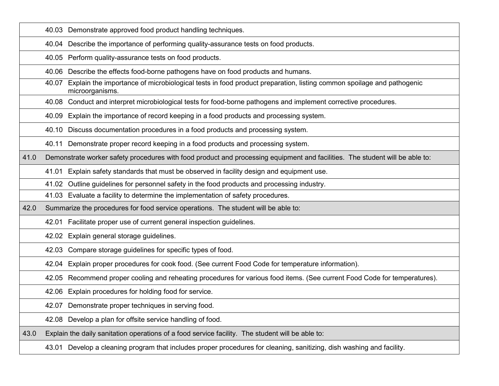|      | 40.03 Demonstrate approved food product handling techniques.                                                                                    |
|------|-------------------------------------------------------------------------------------------------------------------------------------------------|
|      | 40.04 Describe the importance of performing quality-assurance tests on food products.                                                           |
|      | 40.05 Perform quality-assurance tests on food products.                                                                                         |
|      | Describe the effects food-borne pathogens have on food products and humans.<br>40.06                                                            |
|      | Explain the importance of microbiological tests in food product preparation, listing common spoilage and pathogenic<br>40.07<br>microorganisms. |
|      | 40.08 Conduct and interpret microbiological tests for food-borne pathogens and implement corrective procedures.                                 |
|      | Explain the importance of record keeping in a food products and processing system.<br>40.09                                                     |
|      | 40.10 Discuss documentation procedures in a food products and processing system.                                                                |
|      | 40.11 Demonstrate proper record keeping in a food products and processing system.                                                               |
| 41.0 | Demonstrate worker safety procedures with food product and processing equipment and facilities. The student will be able to:                    |
|      | Explain safety standards that must be observed in facility design and equipment use.<br>41.01                                                   |
|      | Outline guidelines for personnel safety in the food products and processing industry.<br>41.02                                                  |
|      | 41.03 Evaluate a facility to determine the implementation of safety procedures.                                                                 |
| 42.0 | Summarize the procedures for food service operations. The student will be able to:                                                              |
|      | 42.01 Facilitate proper use of current general inspection guidelines.                                                                           |
|      | 42.02 Explain general storage guidelines.                                                                                                       |
|      | 42.03 Compare storage guidelines for specific types of food.                                                                                    |
|      | 42.04 Explain proper procedures for cook food. (See current Food Code for temperature information).                                             |
|      | 42.05 Recommend proper cooling and reheating procedures for various food items. (See current Food Code for temperatures).                       |
|      | 42.06 Explain procedures for holding food for service.                                                                                          |
|      | 42.07 Demonstrate proper techniques in serving food.                                                                                            |
|      | 42.08 Develop a plan for offsite service handling of food.                                                                                      |
| 43.0 | Explain the daily sanitation operations of a food service facility. The student will be able to:                                                |
|      | Develop a cleaning program that includes proper procedures for cleaning, sanitizing, dish washing and facility.<br>43.01                        |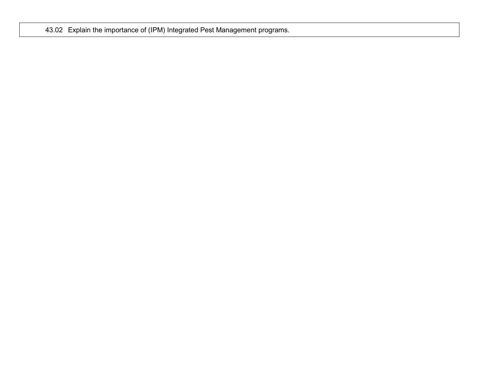43.02 Explain the importance of (IPM) Integrated Pest Management programs.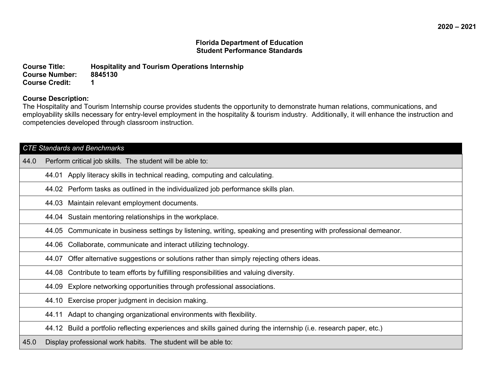**Course Title: Hospitality and Tourism Operations Internship Course Number: Course Credit: 1**

### **Course Description:**

The Hospitality and Tourism Internship course provides students the opportunity to demonstrate human relations, communications, and employability skills necessary for entry-level employment in the hospitality & tourism industry. Additionally, it will enhance the instruction and competencies developed through classroom instruction.

| <b>CTE Standards and Benchmarks</b> |       |                                                                                                                    |  |
|-------------------------------------|-------|--------------------------------------------------------------------------------------------------------------------|--|
| 44.0                                |       | Perform critical job skills. The student will be able to:                                                          |  |
|                                     |       | 44.01 Apply literacy skills in technical reading, computing and calculating.                                       |  |
|                                     |       | 44.02 Perform tasks as outlined in the individualized job performance skills plan.                                 |  |
|                                     |       | 44.03 Maintain relevant employment documents.                                                                      |  |
|                                     | 44.04 | Sustain mentoring relationships in the workplace.                                                                  |  |
|                                     | 44.05 | Communicate in business settings by listening, writing, speaking and presenting with professional demeanor.        |  |
|                                     |       | 44.06 Collaborate, communicate and interact utilizing technology.                                                  |  |
|                                     |       | 44.07 Offer alternative suggestions or solutions rather than simply rejecting others ideas.                        |  |
|                                     |       | 44.08 Contribute to team efforts by fulfilling responsibilities and valuing diversity.                             |  |
|                                     | 44.09 | Explore networking opportunities through professional associations.                                                |  |
|                                     |       | 44.10 Exercise proper judgment in decision making.                                                                 |  |
|                                     |       | 44.11 Adapt to changing organizational environments with flexibility.                                              |  |
|                                     |       | 44.12 Build a portfolio reflecting experiences and skills gained during the internship (i.e. research paper, etc.) |  |
| 45.0                                |       | Display professional work habits. The student will be able to:                                                     |  |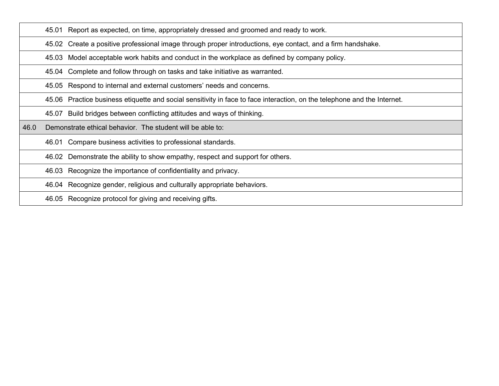45.01 Report as expected, on time, appropriately dressed and groomed and ready to work.

45.02 Create a positive professional image through proper introductions, eye contact, and a firm handshake.

45.03 Model acceptable work habits and conduct in the workplace as defined by company policy.

45.04 Complete and follow through on tasks and take initiative as warranted.

45.05 Respond to internal and external customers' needs and concerns.

45.06 Practice business etiquette and social sensitivity in face to face interaction, on the telephone and the Internet.

45.07 Build bridges between conflicting attitudes and ways of thinking.

46.0 Demonstrate ethical behavior. The student will be able to:

46.01 Compare business activities to professional standards.

46.02 Demonstrate the ability to show empathy, respect and support for others.

46.03 Recognize the importance of confidentiality and privacy.

46.04 Recognize gender, religious and culturally appropriate behaviors.

46.05 Recognize protocol for giving and receiving gifts.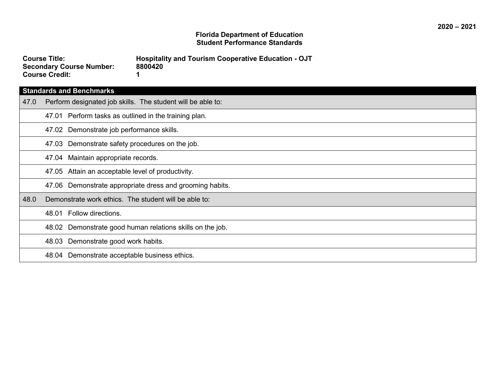| <b>Course Title:</b>            |   |
|---------------------------------|---|
| <b>Secondary Course Number:</b> | 8 |
| <b>Course Credit:</b>           |   |

**Course Title: Hospitality and Tourism Cooperative Education - OJT Secondary Course Number: 8800420**

# **Standards and Benchmarks**

| 47.0 | Perform designated job skills. The student will be able to: |  |  |  |  |
|------|-------------------------------------------------------------|--|--|--|--|
|      | 47.01 Perform tasks as outlined in the training plan.       |  |  |  |  |
|      | 47.02 Demonstrate job performance skills.                   |  |  |  |  |
|      | 47.03 Demonstrate safety procedures on the job.             |  |  |  |  |
|      | 47.04 Maintain appropriate records.                         |  |  |  |  |
|      | 47.05 Attain an acceptable level of productivity.           |  |  |  |  |
|      | 47.06 Demonstrate appropriate dress and grooming habits.    |  |  |  |  |
| 48.0 | Demonstrate work ethics. The student will be able to:       |  |  |  |  |
|      | 48.01 Follow directions.                                    |  |  |  |  |
|      | 48.02 Demonstrate good human relations skills on the job.   |  |  |  |  |
|      | 48.03 Demonstrate good work habits.                         |  |  |  |  |
|      | 48.04 Demonstrate acceptable business ethics.               |  |  |  |  |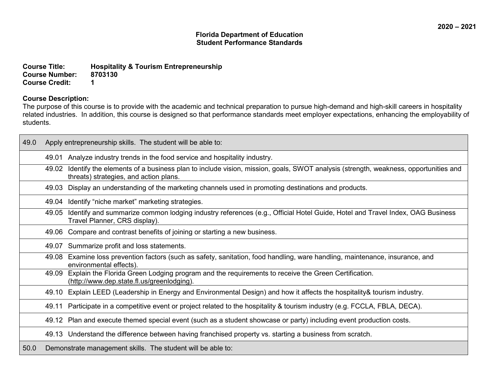**Course Title: Hospitality & Tourism Entrepreneurship Course Number: Course Credit: 1**

### **Course Description:**

The purpose of this course is to provide with the academic and technical preparation to pursue high-demand and high-skill careers in hospitality related industries. In addition, this course is designed so that performance standards meet employer expectations, enhancing the employability of students.

| 49.0 | Apply entrepreneurship skills. The student will be able to: |                                                                                                                                                                            |  |
|------|-------------------------------------------------------------|----------------------------------------------------------------------------------------------------------------------------------------------------------------------------|--|
|      | 49.01                                                       | Analyze industry trends in the food service and hospitality industry.                                                                                                      |  |
|      | 49.02                                                       | Identify the elements of a business plan to include vision, mission, goals, SWOT analysis (strength, weakness, opportunities and<br>threats) strategies, and action plans. |  |
|      | 49.03                                                       | Display an understanding of the marketing channels used in promoting destinations and products.                                                                            |  |
|      |                                                             | 49.04 Identify "niche market" marketing strategies.                                                                                                                        |  |
|      | 49.05                                                       | Identify and summarize common lodging industry references (e.g., Official Hotel Guide, Hotel and Travel Index, OAG Business<br>Travel Planner, CRS display).               |  |
|      | 49.06                                                       | Compare and contrast benefits of joining or starting a new business.                                                                                                       |  |
|      |                                                             | 49.07 Summarize profit and loss statements.                                                                                                                                |  |
|      |                                                             | 49.08 Examine loss prevention factors (such as safety, sanitation, food handling, ware handling, maintenance, insurance, and<br>environmental effects).                    |  |
|      | 49.09                                                       | Explain the Florida Green Lodging program and the requirements to receive the Green Certification.<br>(http://www.dep.state.fl.us/greenlodging).                           |  |
|      |                                                             | 49.10 Explain LEED (Leadership in Energy and Environmental Design) and how it affects the hospitality & tourism industry.                                                  |  |
|      | 49.11                                                       | Participate in a competitive event or project related to the hospitality & tourism industry (e.g. FCCLA, FBLA, DECA).                                                      |  |
|      |                                                             | 49.12 Plan and execute themed special event (such as a student showcase or party) including event production costs.                                                        |  |
|      |                                                             | 49.13 Understand the difference between having franchised property vs. starting a business from scratch.                                                                   |  |
| 50.0 |                                                             | Demonstrate management skills. The student will be able to:                                                                                                                |  |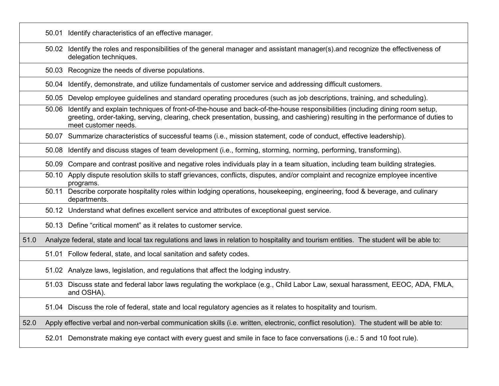|      |       | 50.01 Identify characteristics of an effective manager.                                                                                                                                                                                                                                 |
|------|-------|-----------------------------------------------------------------------------------------------------------------------------------------------------------------------------------------------------------------------------------------------------------------------------------------|
|      | 50.02 | Identify the roles and responsibilities of the general manager and assistant manager(s) and recognize the effectiveness of<br>delegation techniques.                                                                                                                                    |
|      |       | 50.03 Recognize the needs of diverse populations.                                                                                                                                                                                                                                       |
|      | 50.04 | Identify, demonstrate, and utilize fundamentals of customer service and addressing difficult customers.                                                                                                                                                                                 |
|      | 50.05 | Develop employee guidelines and standard operating procedures (such as job descriptions, training, and scheduling).                                                                                                                                                                     |
|      | 50.06 | Identify and explain techniques of front-of-the-house and back-of-the-house responsibilities (including dining room setup,<br>greeting, order-taking, serving, clearing, check presentation, bussing, and cashiering) resulting in the performance of duties to<br>meet customer needs. |
|      |       | 50.07 Summarize characteristics of successful teams (i.e., mission statement, code of conduct, effective leadership).                                                                                                                                                                   |
|      |       | 50.08 Identify and discuss stages of team development (i.e., forming, storming, norming, performing, transforming).                                                                                                                                                                     |
|      | 50.09 | Compare and contrast positive and negative roles individuals play in a team situation, including team building strategies.                                                                                                                                                              |
|      | 50.10 | Apply dispute resolution skills to staff grievances, conflicts, disputes, and/or complaint and recognize employee incentive<br>programs.                                                                                                                                                |
|      | 50.11 | Describe corporate hospitality roles within lodging operations, housekeeping, engineering, food & beverage, and culinary<br>departments.                                                                                                                                                |
|      |       | 50.12 Understand what defines excellent service and attributes of exceptional guest service.                                                                                                                                                                                            |
|      |       | 50.13 Define "critical moment" as it relates to customer service.                                                                                                                                                                                                                       |
| 51.0 |       | Analyze federal, state and local tax regulations and laws in relation to hospitality and tourism entities. The student will be able to:                                                                                                                                                 |
|      |       | 51.01 Follow federal, state, and local sanitation and safety codes.                                                                                                                                                                                                                     |
|      |       | 51.02 Analyze laws, legislation, and regulations that affect the lodging industry.                                                                                                                                                                                                      |
|      |       | 51.03 Discuss state and federal labor laws regulating the workplace (e.g., Child Labor Law, sexual harassment, EEOC, ADA, FMLA,<br>and OSHA).                                                                                                                                           |
|      |       | 51.04 Discuss the role of federal, state and local regulatory agencies as it relates to hospitality and tourism.                                                                                                                                                                        |
| 52.0 |       | Apply effective verbal and non-verbal communication skills (i.e. written, electronic, conflict resolution). The student will be able to:                                                                                                                                                |
|      |       | 52.01 Demonstrate making eye contact with every guest and smile in face to face conversations (i.e.: 5 and 10 foot rule).                                                                                                                                                               |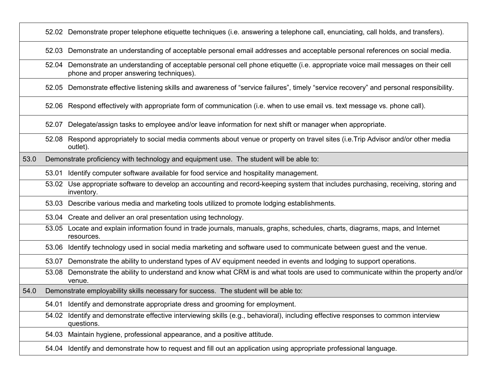|      |       | 52.02 Demonstrate proper telephone etiquette techniques (i.e. answering a telephone call, enunciating, call holds, and transfers).                                            |
|------|-------|-------------------------------------------------------------------------------------------------------------------------------------------------------------------------------|
|      |       | 52.03 Demonstrate an understanding of acceptable personal email addresses and acceptable personal references on social media.                                                 |
|      |       | 52.04 Demonstrate an understanding of acceptable personal cell phone etiquette (i.e. appropriate voice mail messages on their cell<br>phone and proper answering techniques). |
|      |       | 52.05 Demonstrate effective listening skills and awareness of "service failures", timely "service recovery" and personal responsibility.                                      |
|      |       | 52.06 Respond effectively with appropriate form of communication (i.e. when to use email vs. text message vs. phone call).                                                    |
|      | 52.07 | Delegate/assign tasks to employee and/or leave information for next shift or manager when appropriate.                                                                        |
|      |       | 52.08 Respond appropriately to social media comments about venue or property on travel sites (i.e. Trip Advisor and/or other media<br>outlet).                                |
| 53.0 |       | Demonstrate proficiency with technology and equipment use. The student will be able to:                                                                                       |
|      | 53.01 | Identify computer software available for food service and hospitality management.                                                                                             |
|      | 53.02 | Use appropriate software to develop an accounting and record-keeping system that includes purchasing, receiving, storing and<br>inventory.                                    |
|      |       | 53.03 Describe various media and marketing tools utilized to promote lodging establishments.                                                                                  |
|      |       | 53.04 Create and deliver an oral presentation using technology.                                                                                                               |
|      |       | 53.05 Locate and explain information found in trade journals, manuals, graphs, schedules, charts, diagrams, maps, and Internet<br>resources.                                  |
|      | 53.06 | Identify technology used in social media marketing and software used to communicate between guest and the venue.                                                              |
|      | 53.07 | Demonstrate the ability to understand types of AV equipment needed in events and lodging to support operations.                                                               |
|      | 53.08 | Demonstrate the ability to understand and know what CRM is and what tools are used to communicate within the property and/or<br>venue.                                        |
| 54.0 |       | Demonstrate employability skills necessary for success. The student will be able to:                                                                                          |
|      |       | 54.01 Identify and demonstrate appropriate dress and grooming for employment.                                                                                                 |
|      |       | 54.02 Identify and demonstrate effective interviewing skills (e.g., behavioral), including effective responses to common interview<br>questions.                              |
|      |       | 54.03 Maintain hygiene, professional appearance, and a positive attitude.                                                                                                     |
|      |       | 54.04 Identify and demonstrate how to request and fill out an application using appropriate professional language.                                                            |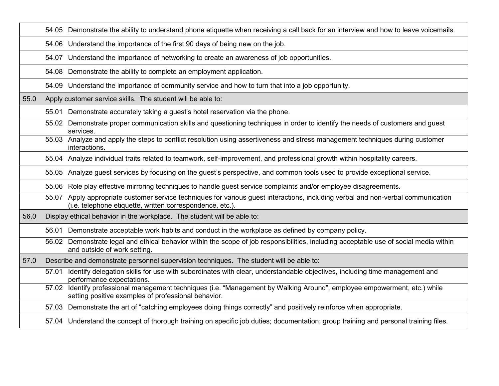|      | 54.05 Demonstrate the ability to understand phone etiquette when receiving a call back for an interview and how to leave voicemails.                                                             |
|------|--------------------------------------------------------------------------------------------------------------------------------------------------------------------------------------------------|
|      | 54.06 Understand the importance of the first 90 days of being new on the job.                                                                                                                    |
|      | 54.07 Understand the importance of networking to create an awareness of job opportunities.                                                                                                       |
|      | 54.08 Demonstrate the ability to complete an employment application.                                                                                                                             |
|      | 54.09 Understand the importance of community service and how to turn that into a job opportunity.                                                                                                |
| 55.0 | Apply customer service skills. The student will be able to:                                                                                                                                      |
|      | 55.01 Demonstrate accurately taking a guest's hotel reservation via the phone.                                                                                                                   |
|      | 55.02 Demonstrate proper communication skills and questioning techniques in order to identify the needs of customers and guest<br>services.                                                      |
|      | 55.03 Analyze and apply the steps to conflict resolution using assertiveness and stress management techniques during customer<br>interactions.                                                   |
|      | 55.04 Analyze individual traits related to teamwork, self-improvement, and professional growth within hospitality careers.                                                                       |
|      | 55.05 Analyze guest services by focusing on the guest's perspective, and common tools used to provide exceptional service.                                                                       |
|      | 55.06 Role play effective mirroring techniques to handle guest service complaints and/or employee disagreements.                                                                                 |
|      | Apply appropriate customer service techniques for various guest interactions, including verbal and non-verbal communication<br>55.07<br>(i.e. telephone etiquette, written correspondence, etc.) |
| 56.0 | Display ethical behavior in the workplace. The student will be able to:                                                                                                                          |
|      | 56.01 Demonstrate acceptable work habits and conduct in the workplace as defined by company policy.                                                                                              |
|      | Demonstrate legal and ethical behavior within the scope of job responsibilities, including acceptable use of social media within<br>56.02<br>and outside of work setting.                        |
| 57.0 | Describe and demonstrate personnel supervision techniques. The student will be able to:                                                                                                          |
|      | Identify delegation skills for use with subordinates with clear, understandable objectives, including time management and<br>57.01<br>performance expectations.                                  |
|      | Identify professional management techniques (i.e. "Management by Walking Around", employee empowerment, etc.) while<br>57.02<br>setting positive examples of professional behavior.              |
|      | 57.03 Demonstrate the art of "catching employees doing things correctly" and positively reinforce when appropriate.                                                                              |
|      | 57.04 Understand the concept of thorough training on specific job duties; documentation; group training and personal training files.                                                             |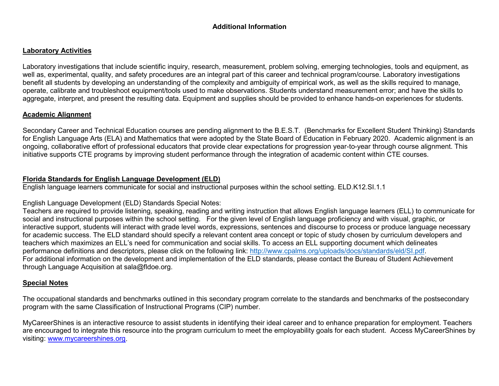## **Additional Information**

### **Laboratory Activities**

Laboratory investigations that include scientific inquiry, research, measurement, problem solving, emerging technologies, tools and equipment, as well as, experimental, quality, and safety procedures are an integral part of this career and technical program/course. Laboratory investigations benefit all students by developing an understanding of the complexity and ambiguity of empirical work, as well as the skills required to manage, operate, calibrate and troubleshoot equipment/tools used to make observations. Students understand measurement error; and have the skills to aggregate, interpret, and present the resulting data. Equipment and supplies should be provided to enhance hands-on experiences for students.

## **Academic Alignment**

Secondary Career and Technical Education courses are pending alignment to the B.E.S.T. (Benchmarks for Excellent Student Thinking) Standards for English Language Arts (ELA) and Mathematics that were adopted by the State Board of Education in February 2020. Academic alignment is an ongoing, collaborative effort of professional educators that provide clear expectations for progression year-to-year through course alignment. This initiative supports CTE programs by improving student performance through the integration of academic content within CTE courses.

### **Florida Standards for English Language Development (ELD)**

English language learners communicate for social and instructional purposes within the school setting. ELD.K12.SI.1.1

## English Language Development (ELD) Standards Special Notes:

Teachers are required to provide listening, speaking, reading and writing instruction that allows English language learners (ELL) to communicate for social and instructional purposes within the school setting. For the given level of English language proficiency and with visual, graphic, or interactive support, students will interact with grade level words, expressions, sentences and discourse to process or produce language necessary for academic success. The ELD standard should specify a relevant content area concept or topic of study chosen by curriculum developers and teachers which maximizes an ELL's need for communication and social skills. To access an ELL supporting document which delineates performance definitions and descriptors, please click on the following link: [http://www.cpalms.org/uploads/docs/standards/eld/SI.pdf.](http://www.cpalms.org/uploads/docs/standards/eld/SI.pdf) For additional information on the development and implementation of the ELD standards, please contact the Bureau of Student Achievement through Language Acquisition at sala@fldoe.org.

## **Special Notes**

The occupational standards and benchmarks outlined in this secondary program correlate to the standards and benchmarks of the postsecondary program with the same Classification of Instructional Programs (CIP) number.

MyCareerShines is an interactive resource to assist students in identifying their ideal career and to enhance preparation for employment. Teachers are encouraged to integrate this resource into the program curriculum to meet the employability goals for each student. Access MyCareerShines by visiting: [www.mycareershines.org.](http://www.mycareershines.org/)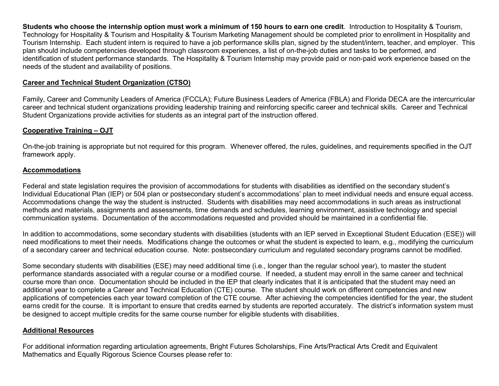**Students who choose the internship option must work a minimum of 150 hours to earn one credit**. Introduction to Hospitality & Tourism, Technology for Hospitality & Tourism and Hospitality & Tourism Marketing Management should be completed prior to enrollment in Hospitality and Tourism Internship. Each student intern is required to have a job performance skills plan, signed by the student/intern, teacher, and employer. This plan should include competencies developed through classroom experiences, a list of on-the-job duties and tasks to be performed, and identification of student performance standards. The Hospitality & Tourism Internship may provide paid or non-paid work experience based on the needs of the student and availability of positions.

## **Career and Technical Student Organization (CTSO)**

Family, Career and Community Leaders of America (FCCLA); Future Business Leaders of America (FBLA) and Florida DECA are the intercurricular career and technical student organizations providing leadership training and reinforcing specific career and technical skills. Career and Technical Student Organizations provide activities for students as an integral part of the instruction offered.

## **Cooperative Training – OJT**

On-the-job training is appropriate but not required for this program. Whenever offered, the rules, guidelines, and requirements specified in the OJT framework apply.

## **Accommodations**

Federal and state legislation requires the provision of accommodations for students with disabilities as identified on the secondary student's Individual Educational Plan (IEP) or 504 plan or postsecondary student's accommodations' plan to meet individual needs and ensure equal access. Accommodations change the way the student is instructed. Students with disabilities may need accommodations in such areas as instructional methods and materials, assignments and assessments, time demands and schedules, learning environment, assistive technology and special communication systems. Documentation of the accommodations requested and provided should be maintained in a confidential file.

In addition to accommodations, some secondary students with disabilities (students with an IEP served in Exceptional Student Education (ESE)) will need modifications to meet their needs. Modifications change the outcomes or what the student is expected to learn, e.g., modifying the curriculum of a secondary career and technical education course. Note: postsecondary curriculum and regulated secondary programs cannot be modified.

Some secondary students with disabilities (ESE) may need additional time (i.e., longer than the regular school year), to master the student performance standards associated with a regular course or a modified course. If needed, a student may enroll in the same career and technical course more than once. Documentation should be included in the IEP that clearly indicates that it is anticipated that the student may need an additional year to complete a Career and Technical Education (CTE) course. The student should work on different competencies and new applications of competencies each year toward completion of the CTE course. After achieving the competencies identified for the year, the student earns credit for the course. It is important to ensure that credits earned by students are reported accurately. The district's information system must be designed to accept multiple credits for the same course number for eligible students with disabilities.

## **Additional Resources**

For additional information regarding articulation agreements, Bright Futures Scholarships, Fine Arts/Practical Arts Credit and Equivalent Mathematics and Equally Rigorous Science Courses please refer to: